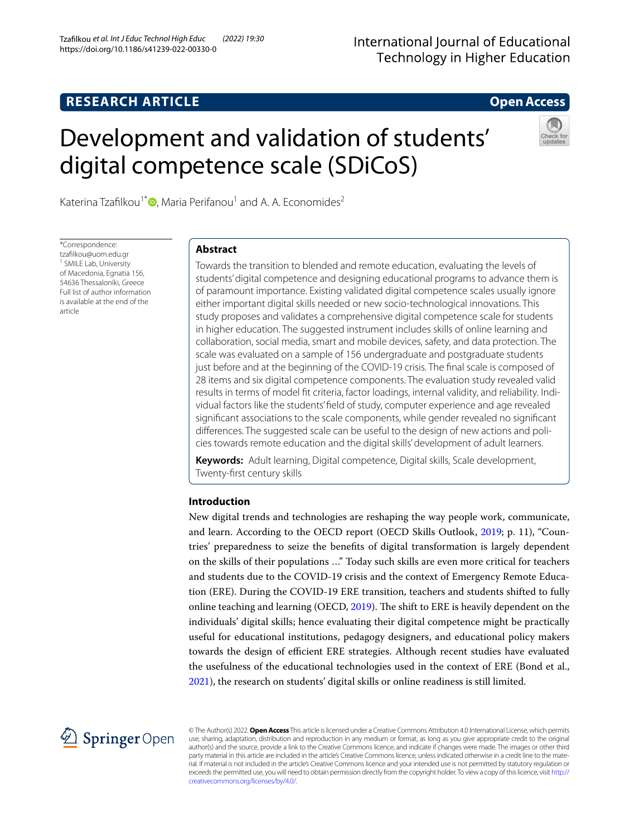# **RESEARCH ARTICLE**

# **Open Access**

# Development and validation of students' digital competence scale (SDiCoS)



Katerina Tzafilkou<sup>1\*</sup>  $\bullet$ [,](http://orcid.org/0000-0003-4092-6492) Maria Perifanou<sup>1</sup> and A. A. Economides<sup>2</sup>

\*Correspondence: tzaflkou@uom.edu.gr <sup>1</sup> SMILE Lab, University of Macedonia, Egnatia 156, 54636 Thessaloníki, Greece Full list of author information is available at the end of the article

# **Abstract**

Towards the transition to blended and remote education, evaluating the levels of students' digital competence and designing educational programs to advance them is of paramount importance. Existing validated digital competence scales usually ignore either important digital skills needed or new socio-technological innovations. This study proposes and validates a comprehensive digital competence scale for students in higher education. The suggested instrument includes skills of online learning and collaboration, social media, smart and mobile devices, safety, and data protection. The scale was evaluated on a sample of 156 undergraduate and postgraduate students just before and at the beginning of the COVID-19 crisis. The final scale is composed of 28 items and six digital competence components. The evaluation study revealed valid results in terms of model ft criteria, factor loadings, internal validity, and reliability. Individual factors like the students' feld of study, computer experience and age revealed signifcant associations to the scale components, while gender revealed no signifcant diferences. The suggested scale can be useful to the design of new actions and policies towards remote education and the digital skills' development of adult learners.

**Keywords:** Adult learning, Digital competence, Digital skills, Scale development, Twenty-frst century skills

## **Introduction**

New digital trends and technologies are reshaping the way people work, communicate, and learn. According to the OECD report (OECD Skills Outlook, [2019](#page-18-0); p. 11), "Countries' preparedness to seize the benefts of digital transformation is largely dependent on the skills of their populations …" Today such skills are even more critical for teachers and students due to the COVID-19 crisis and the context of Emergency Remote Education (ERE). During the COVID-19 ERE transition, teachers and students shifted to fully online teaching and learning (OECD, [2019](#page-18-0)). The shift to ERE is heavily dependent on the individuals' digital skills; hence evaluating their digital competence might be practically useful for educational institutions, pedagogy designers, and educational policy makers towards the design of efficient ERE strategies. Although recent studies have evaluated the usefulness of the educational technologies used in the context of ERE (Bond et al., [2021](#page-17-0)), the research on students' digital skills or online readiness is still limited.



© The Author(s) 2022. **Open Access** This article is licensed under a Creative Commons Attribution 4.0 International License, which permits use, sharing, adaptation, distribution and reproduction in any medium or format, as long as you give appropriate credit to the original author(s) and the source, provide a link to the Creative Commons licence, and indicate if changes were made. The images or other third party material in this article are included in the article's Creative Commons licence, unless indicated otherwise in a credit line to the material. If material is not included in the article's Creative Commons licence and your intended use is not permitted by statutory regulation or exceeds the permitted use, you will need to obtain permission directly from the copyright holder. To view a copy of this licence, visit [http://](http://creativecommons.org/licenses/by/4.0/) [creativecommons.org/licenses/by/4.0/.](http://creativecommons.org/licenses/by/4.0/)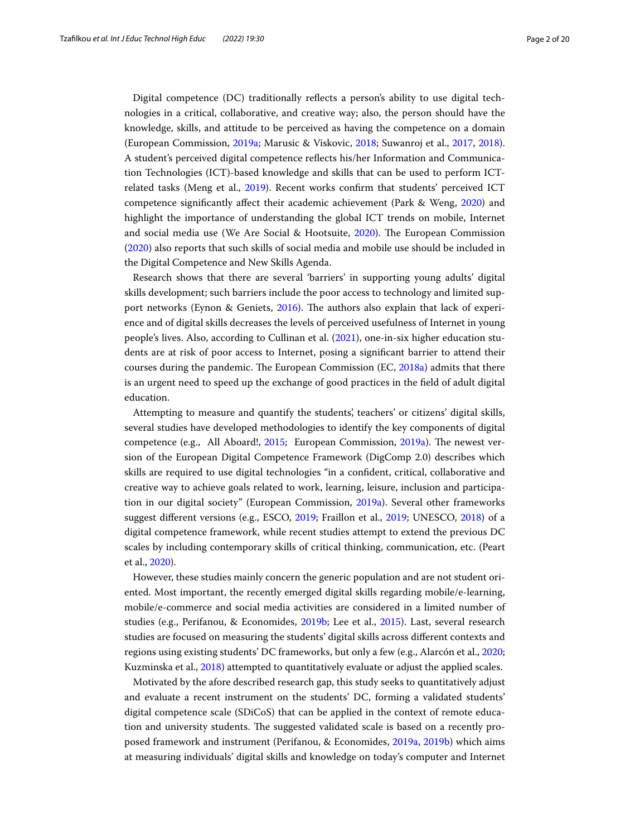Digital competence (DC) traditionally refects a person's ability to use digital technologies in a critical, collaborative, and creative way; also, the person should have the knowledge, skills, and attitude to be perceived as having the competence on a domain (European Commission, [2019a](#page-17-1); Marusic & Viskovic, [2018;](#page-18-1) Suwanroj et al., [2017](#page-18-2), [2018](#page-18-3)). A student's perceived digital competence refects his/her Information and Communication Technologies (ICT)-based knowledge and skills that can be used to perform ICTrelated tasks (Meng et al., [2019](#page-18-4)). Recent works confrm that students' perceived ICT competence signifcantly afect their academic achievement (Park & Weng, [2020\)](#page-18-5) and highlight the importance of understanding the global ICT trends on mobile, Internet and social media use (We Are Social & Hootsuite, [2020\)](#page-19-0). The European Commission ([2020\)](#page-17-2) also reports that such skills of social media and mobile use should be included in the Digital Competence and New Skills Agenda.

Research shows that there are several 'barriers' in supporting young adults' digital skills development; such barriers include the poor access to technology and limited support networks (Eynon & Geniets,  $2016$ ). The authors also explain that lack of experience and of digital skills decreases the levels of perceived usefulness of Internet in young people's lives. Also, according to Cullinan et al. [\(2021\)](#page-17-4), one-in-six higher education students are at risk of poor access to Internet, posing a signifcant barrier to attend their courses during the pandemic. The European Commission (EC,  $2018a$ ) admits that there is an urgent need to speed up the exchange of good practices in the feld of adult digital education.

Attempting to measure and quantify the students', teachers' or citizens' digital skills, several studies have developed methodologies to identify the key components of digital competence (e.g., All Aboard!, [2015;](#page-16-0) European Commission, [2019a](#page-17-1)). The newest version of the European Digital Competence Framework (DigComp 2.0) describes which skills are required to use digital technologies "in a confdent, critical, collaborative and creative way to achieve goals related to work, learning, leisure, inclusion and participation in our digital society" (European Commission, [2019a\)](#page-17-1). Several other frameworks suggest diferent versions (e.g., ESCO, [2019;](#page-17-6) Fraillon et al., [2019;](#page-17-7) UNESCO, [2018](#page-19-1)) of a digital competence framework, while recent studies attempt to extend the previous DC scales by including contemporary skills of critical thinking, communication, etc. (Peart et al., [2020](#page-18-6)).

However, these studies mainly concern the generic population and are not student oriented. Most important, the recently emerged digital skills regarding mobile/e-learning, mobile/e-commerce and social media activities are considered in a limited number of studies (e.g., Perifanou, & Economides, [2019b](#page-18-7); Lee et al., [2015](#page-18-8)). Last, several research studies are focused on measuring the students' digital skills across diferent contexts and regions using existing students' DC frameworks, but only a few (e.g., Alarcón et al., [2020](#page-16-1); Kuzminska et al., [2018](#page-18-9)) attempted to quantitatively evaluate or adjust the applied scales.

Motivated by the afore described research gap, this study seeks to quantitatively adjust and evaluate a recent instrument on the students' DC, forming a validated students' digital competence scale (SDiCoS) that can be applied in the context of remote education and university students. The suggested validated scale is based on a recently proposed framework and instrument (Perifanou, & Economides, [2019a,](#page-18-10) [2019b](#page-18-7)) which aims at measuring individuals' digital skills and knowledge on today's computer and Internet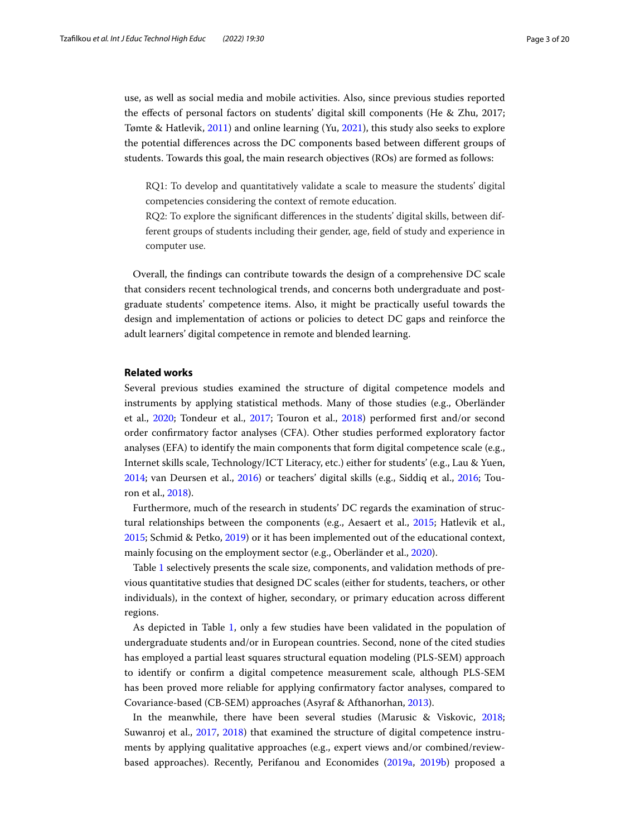use, as well as social media and mobile activities. Also, since previous studies reported the efects of personal factors on students' digital skill components (He & Zhu, 2017; Tømte & Hatlevik, [2011\)](#page-18-11) and online learning (Yu, [2021](#page-19-2)), this study also seeks to explore the potential diferences across the DC components based between diferent groups of students. Towards this goal, the main research objectives (ROs) are formed as follows:

RQ1: To develop and quantitatively validate a scale to measure the students' digital competencies considering the context of remote education.

RQ2: To explore the signifcant diferences in the students' digital skills, between different groups of students including their gender, age, feld of study and experience in computer use.

Overall, the fndings can contribute towards the design of a comprehensive DC scale that considers recent technological trends, and concerns both undergraduate and postgraduate students' competence items. Also, it might be practically useful towards the design and implementation of actions or policies to detect DC gaps and reinforce the adult learners' digital competence in remote and blended learning.

#### **Related works**

Several previous studies examined the structure of digital competence models and instruments by applying statistical methods. Many of those studies (e.g., Oberländer et al., [2020](#page-18-12); Tondeur et al., [2017;](#page-18-13) Touron et al., [2018\)](#page-18-14) performed frst and/or second order confrmatory factor analyses (CFA). Other studies performed exploratory factor analyses (EFA) to identify the main components that form digital competence scale (e.g., Internet skills scale, Technology/ICT Literacy, etc.) either for students' (e.g., Lau & Yuen, [2014](#page-18-15); van Deursen et al., [2016](#page-19-3)) or teachers' digital skills (e.g., Siddiq et al., [2016](#page-18-16); Touron et al., [2018\)](#page-18-14).

Furthermore, much of the research in students' DC regards the examination of structural relationships between the components (e.g., Aesaert et al., [2015](#page-16-2); Hatlevik et al., [2015](#page-17-8); Schmid & Petko, [2019](#page-18-17)) or it has been implemented out of the educational context, mainly focusing on the employment sector (e.g., Oberländer et al., [2020](#page-18-12)).

Table [1](#page-3-0) selectively presents the scale size, components, and validation methods of previous quantitative studies that designed DC scales (either for students, teachers, or other individuals), in the context of higher, secondary, or primary education across diferent regions.

As depicted in Table [1](#page-3-0), only a few studies have been validated in the population of undergraduate students and/or in European countries. Second, none of the cited studies has employed a partial least squares structural equation modeling (PLS-SEM) approach to identify or confrm a digital competence measurement scale, although PLS-SEM has been proved more reliable for applying confrmatory factor analyses, compared to Covariance-based (CB-SEM) approaches (Asyraf & Afthanorhan, [2013](#page-16-3)).

In the meanwhile, there have been several studies (Marusic & Viskovic, [2018](#page-18-1); Suwanroj et al., [2017](#page-18-2), [2018](#page-18-3)) that examined the structure of digital competence instruments by applying qualitative approaches (e.g., expert views and/or combined/reviewbased approaches). Recently, Perifanou and Economides [\(2019a](#page-18-10), [2019b](#page-18-7)) proposed a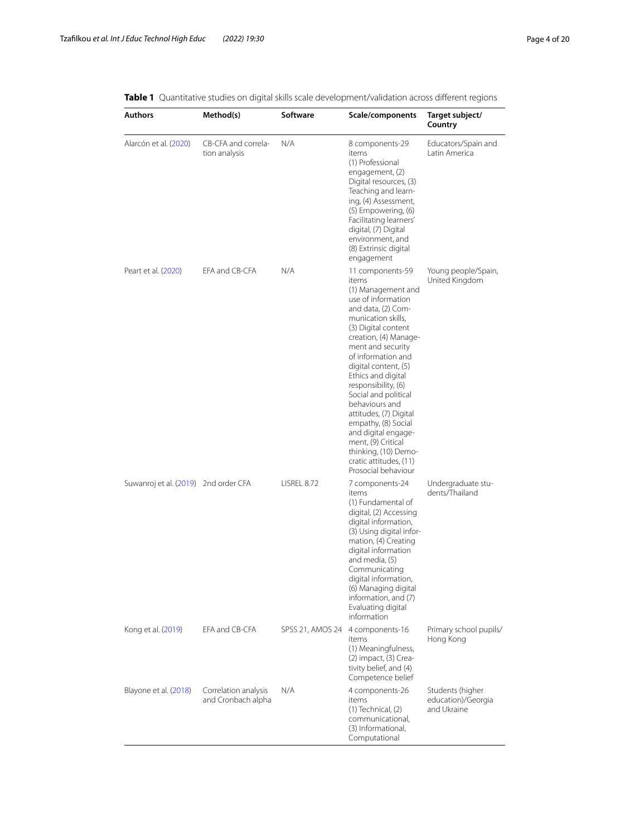| <b>Authors</b>                       | Method(s)                                  | Software         | Scale/components                                                                                                                                                                                                                                                                                                                                                                                                                                                                                   | Target subject/<br>Country                            |
|--------------------------------------|--------------------------------------------|------------------|----------------------------------------------------------------------------------------------------------------------------------------------------------------------------------------------------------------------------------------------------------------------------------------------------------------------------------------------------------------------------------------------------------------------------------------------------------------------------------------------------|-------------------------------------------------------|
| Alarcón et al. (2020)                | CB-CFA and correla-<br>tion analysis       | N/A              | 8 components-29<br>items<br>(1) Professional<br>engagement, (2)<br>Digital resources, (3)<br>Teaching and learn-<br>ing, (4) Assessment,<br>(5) Empowering, (6)<br>Facilitating learners'<br>digital, (7) Digital<br>environment, and<br>(8) Extrinsic digital<br>engagement                                                                                                                                                                                                                       | Educators/Spain and<br>Latin America                  |
| Peart et al. (2020)                  | EFA and CB-CFA                             | N/A              | 11 components-59<br>items<br>(1) Management and<br>use of information<br>and data, (2) Com-<br>munication skills,<br>(3) Digital content<br>creation, (4) Manage-<br>ment and security<br>of information and<br>digital content, (5)<br>Ethics and digital<br>responsibility, (6)<br>Social and political<br>behaviours and<br>attitudes, (7) Digital<br>empathy, (8) Social<br>and digital engage-<br>ment, (9) Critical<br>thinking, (10) Demo-<br>cratic attitudes, (11)<br>Prosocial behaviour | Young people/Spain,<br>United Kingdom                 |
| Suwanroj et al. (2019) 2nd order CFA |                                            | LISREL 8.72      | 7 components-24<br>items<br>(1) Fundamental of<br>digital, (2) Accessing<br>digital information,<br>(3) Using digital infor-<br>mation, (4) Creating<br>digital information<br>and media, (5)<br>Communicating<br>digital information,<br>(6) Managing digital<br>information, and (7)<br>Evaluating digital<br>information                                                                                                                                                                        | Undergraduate stu-<br>dents/Thailand                  |
| Kong et al. (2019)                   | EFA and CB-CFA                             | SPSS 21, AMOS 24 | 4 components-16<br>items<br>(1) Meaningfulness,<br>(2) impact, (3) Crea-<br>tivity belief, and (4)<br>Competence belief                                                                                                                                                                                                                                                                                                                                                                            | Primary school pupils/<br>Hong Kong                   |
| Blayone et al. (2018)                | Correlation analysis<br>and Cronbach alpha | N/A              | 4 components-26<br>items<br>$(1)$ Technical, $(2)$<br>communicational,<br>(3) Informational,<br>Computational                                                                                                                                                                                                                                                                                                                                                                                      | Students (higher<br>education)/Georgia<br>and Ukraine |

<span id="page-3-0"></span>**Table <b>1** Quantitative studies on digital skills scale development/validation across different regions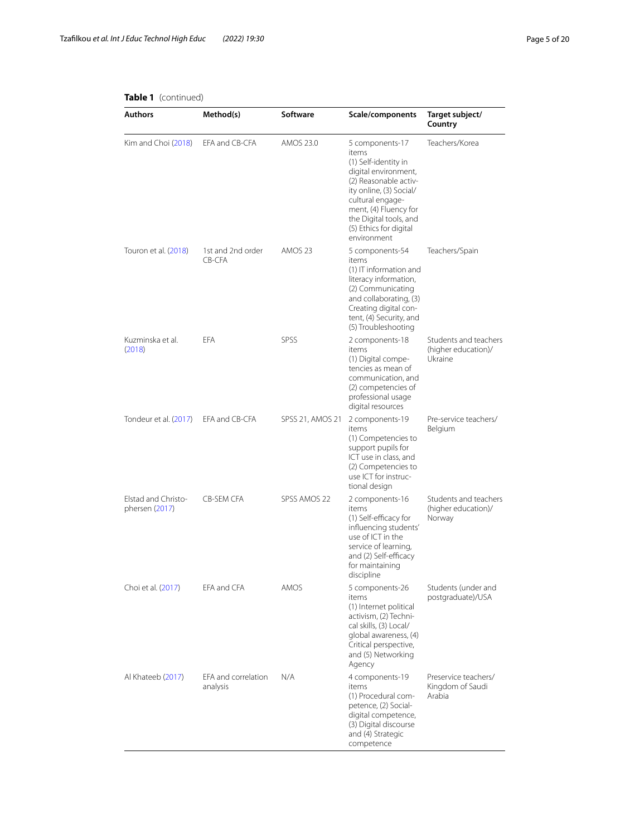# **Table 1** (continued)

| Authors                               | Method(s)                       | Software         | Scale/components                                                                                                                                                                                                                             | Target subject/<br>Country                              |
|---------------------------------------|---------------------------------|------------------|----------------------------------------------------------------------------------------------------------------------------------------------------------------------------------------------------------------------------------------------|---------------------------------------------------------|
| Kim and Choi (2018)                   | EFA and CB-CFA                  | AMOS 23.0        | 5 components-17<br>items<br>(1) Self-identity in<br>digital environment,<br>(2) Reasonable activ-<br>ity online, (3) Social/<br>cultural engage-<br>ment, (4) Fluency for<br>the Digital tools, and<br>(5) Ethics for digital<br>environment | Teachers/Korea                                          |
| Touron et al. (2018)                  | 1st and 2nd order<br>CB-CFA     | AMOS 23          | 5 components-54<br>items<br>$(1)$ IT information and<br>literacy information,<br>(2) Communicating<br>and collaborating, (3)<br>Creating digital con-<br>tent, (4) Security, and<br>(5) Troubleshooting                                      | Teachers/Spain                                          |
| Kuzminska et al.<br>(2018)            | <b>EFA</b>                      | SPSS             | 2 components-18<br>items<br>(1) Digital compe-<br>tencies as mean of<br>communication, and<br>(2) competencies of<br>professional usage<br>digital resources                                                                                 | Students and teachers<br>(higher education)/<br>Ukraine |
| Tondeur et al. (2017)                 | EFA and CB-CFA                  | SPSS 21, AMOS 21 | 2 components-19<br>items<br>(1) Competencies to<br>support pupils for<br>ICT use in class, and<br>(2) Competencies to<br>use ICT for instruc-<br>tional design                                                                               | Pre-service teachers/<br>Belgium                        |
| Elstad and Christo-<br>phersen (2017) | <b>CB-SEM CFA</b>               | SPSS AMOS 22     | 2 components-16<br>items<br>(1) Self-efficacy for<br>influencing students'<br>use of ICT in the<br>service of learning,<br>and (2) Self-efficacy<br>for maintaining<br>discipline                                                            | Students and teachers<br>(higher education)/<br>Norway  |
| Choi et al. (2017)                    | EFA and CFA                     | AMOS             | 5 components-26<br>items<br>(1) Internet political<br>activism, (2) Techni-<br>cal skills, (3) Local/<br>global awareness, (4)<br>Critical perspective,<br>and (5) Networking<br>Agency                                                      | Students (under and<br>postgraduate)/USA                |
| Al Khateeb (2017)                     | EFA and correlation<br>analysis | N/A              | 4 components-19<br><b>items</b><br>(1) Procedural com-<br>petence, (2) Social-<br>digital competence,<br>(3) Digital discourse<br>and (4) Strategic<br>competence                                                                            | Preservice teachers/<br>Kingdom of Saudi<br>Arabia      |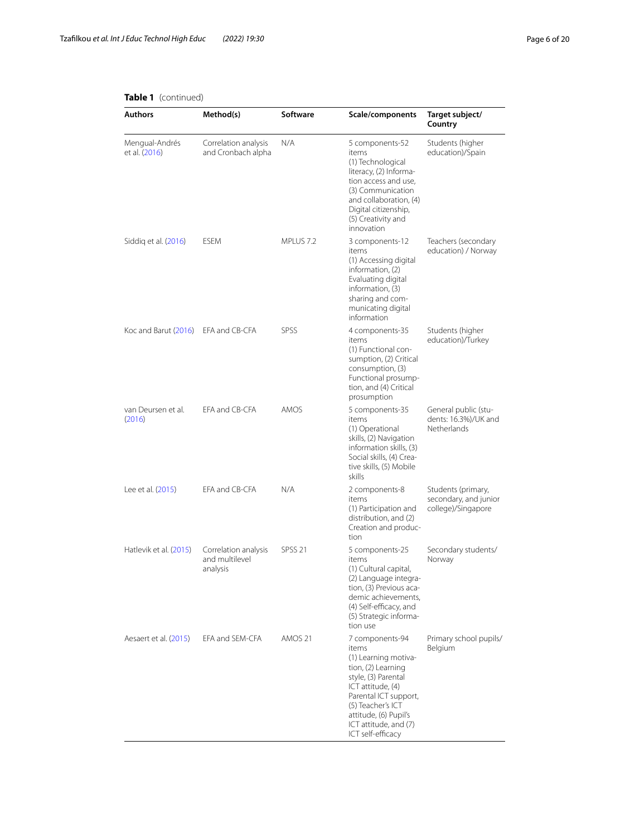| Authors                             | Method(s)                                          | Software           | Scale/components                                                                                                                                                                                                                        | Target subject/<br>Country                                        |
|-------------------------------------|----------------------------------------------------|--------------------|-----------------------------------------------------------------------------------------------------------------------------------------------------------------------------------------------------------------------------------------|-------------------------------------------------------------------|
| Mengual-Andrés<br>et al. (2016)     | Correlation analysis<br>and Cronbach alpha         | N/A                | 5 components-52<br>items<br>(1) Technological<br>literacy, (2) Informa-<br>tion access and use,<br>(3) Communication<br>and collaboration, (4)<br>Digital citizenship,<br>(5) Creativity and<br>innovation                              | Students (higher<br>education)/Spain                              |
| Siddiq et al. (2016)                | <b>ESEM</b>                                        | MPLUS 7.2          | 3 components-12<br>items<br>(1) Accessing digital<br>information, (2)<br>Evaluating digital<br>information, (3)<br>sharing and com-<br>municating digital<br>information                                                                | Teachers (secondary<br>education) / Norway                        |
| Koc and Barut (2016) EFA and CB-CFA |                                                    | SPSS               | 4 components-35<br>items<br>(1) Functional con-<br>sumption, (2) Critical<br>consumption, (3)<br>Functional prosump-<br>tion, and (4) Critical<br>prosumption                                                                           | Students (higher<br>education)/Turkey                             |
| van Deursen et al.<br>(2016)        | EFA and CB-CFA                                     | AMOS               | 5 components-35<br>items<br>(1) Operational<br>skills, (2) Navigation<br>information skills, (3)<br>Social skills, (4) Crea-<br>tive skills, (5) Mobile<br>skills                                                                       | General public (stu-<br>dents: 16.3%)/UK and<br>Netherlands       |
| Lee et al. (2015)                   | EFA and CB-CFA                                     | N/A                | 2 components-8<br>items<br>(1) Participation and<br>distribution, and (2)<br>Creation and produc-<br>tion                                                                                                                               | Students (primary,<br>secondary, and junior<br>college)/Singapore |
| Hatlevik et al. (2015)              | Correlation analysis<br>and multilevel<br>analysis | SPSS <sub>21</sub> | 5 components-25<br>items<br>(1) Cultural capital,<br>(2) Language integra-<br>tion, (3) Previous aca-<br>demic achievements,<br>(4) Self-efficacy, and<br>(5) Strategic informa-<br>tion use                                            | Secondary students/<br>Norway                                     |
| Aesaert et al. (2015)               | EFA and SEM-CFA                                    | AMOS 21            | 7 components-94<br>items<br>(1) Learning motiva-<br>tion, (2) Learning<br>style, (3) Parental<br>ICT attitude, (4)<br>Parental ICT support,<br>(5) Teacher's ICT<br>attitude, (6) Pupil's<br>ICT attitude, and (7)<br>ICT self-efficacy | Primary school pupils/<br>Belgium                                 |

#### **Table 1** (continued)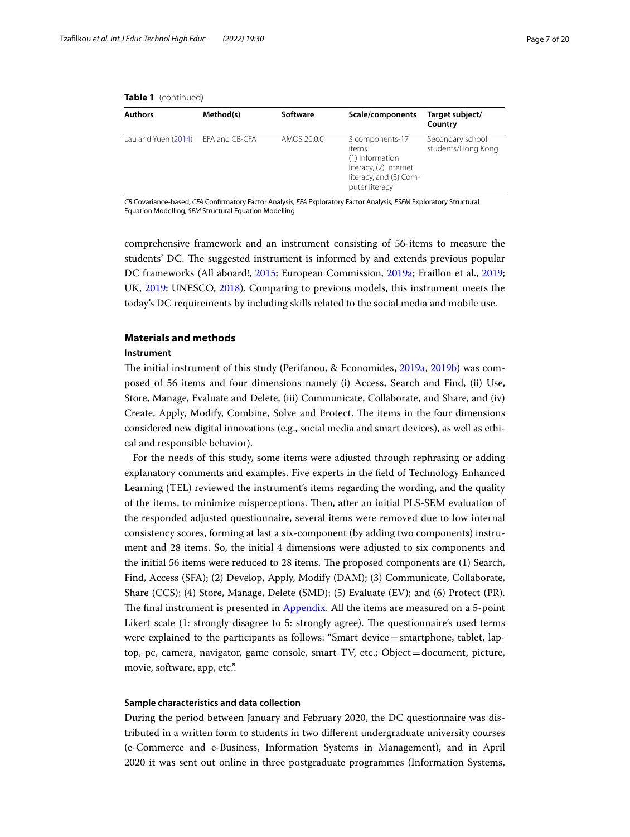| <b>Authors</b>      | Method(s)      | Software    | Scale/components                                                                                                  | Target subject/<br>Country             |
|---------------------|----------------|-------------|-------------------------------------------------------------------------------------------------------------------|----------------------------------------|
| Lau and Yuen (2014) | EFA and CB-CFA | AMOS 20.0.0 | 3 components-17<br>items<br>(1) Information<br>literacy, (2) Internet<br>literacy, and (3) Com-<br>puter literacy | Secondary school<br>students/Hong Kong |

|  | Table 1 (continued) |
|--|---------------------|
|--|---------------------|

*CB* Covariance-based, *CFA* Confrmatory Factor Analysis, *EFA* Exploratory Factor Analysis, *ESEM* Exploratory Structural Equation Modelling, *SEM* Structural Equation Modelling

comprehensive framework and an instrument consisting of 56-items to measure the students' DC. The suggested instrument is informed by and extends previous popular DC frameworks (All aboard!, [2015;](#page-16-0) European Commission, [2019a](#page-17-1); Fraillon et al., [2019](#page-17-7); UK, [2019;](#page-19-4) UNESCO, [2018](#page-19-1)). Comparing to previous models, this instrument meets the today's DC requirements by including skills related to the social media and mobile use.

### **Materials and methods**

#### **Instrument**

The initial instrument of this study (Perifanou, & Economides, [2019a](#page-18-10), [2019b](#page-18-7)) was composed of 56 items and four dimensions namely (i) Access, Search and Find, (ii) Use, Store, Manage, Evaluate and Delete, (iii) Communicate, Collaborate, and Share, and (iv) Create, Apply, Modify, Combine, Solve and Protect. The items in the four dimensions considered new digital innovations (e.g., social media and smart devices), as well as ethical and responsible behavior).

For the needs of this study, some items were adjusted through rephrasing or adding explanatory comments and examples. Five experts in the feld of Technology Enhanced Learning (TEL) reviewed the instrument's items regarding the wording, and the quality of the items, to minimize misperceptions. Ten, after an initial PLS-SEM evaluation of the responded adjusted questionnaire, several items were removed due to low internal consistency scores, forming at last a six-component (by adding two components) instrument and 28 items. So, the initial 4 dimensions were adjusted to six components and the initial 56 items were reduced to 28 items. The proposed components are (1) Search, Find, Access (SFA); (2) Develop, Apply, Modify (DAM); (3) Communicate, Collaborate, Share (CCS); (4) Store, Manage, Delete (SMD); (5) Evaluate (EV); and (6) Protect (PR). The final instrument is presented in [Appendix](#page-14-0). All the items are measured on a 5-point Likert scale (1: strongly disagree to 5: strongly agree). The questionnaire's used terms were explained to the participants as follows: "Smart device=smartphone, tablet, laptop, pc, camera, navigator, game console, smart TV, etc.; Object=document, picture, movie, software, app, etc.".

### **Sample characteristics and data collection**

During the period between January and February 2020, the DC questionnaire was distributed in a written form to students in two diferent undergraduate university courses (e-Commerce and e-Business, Information Systems in Management), and in April 2020 it was sent out online in three postgraduate programmes (Information Systems,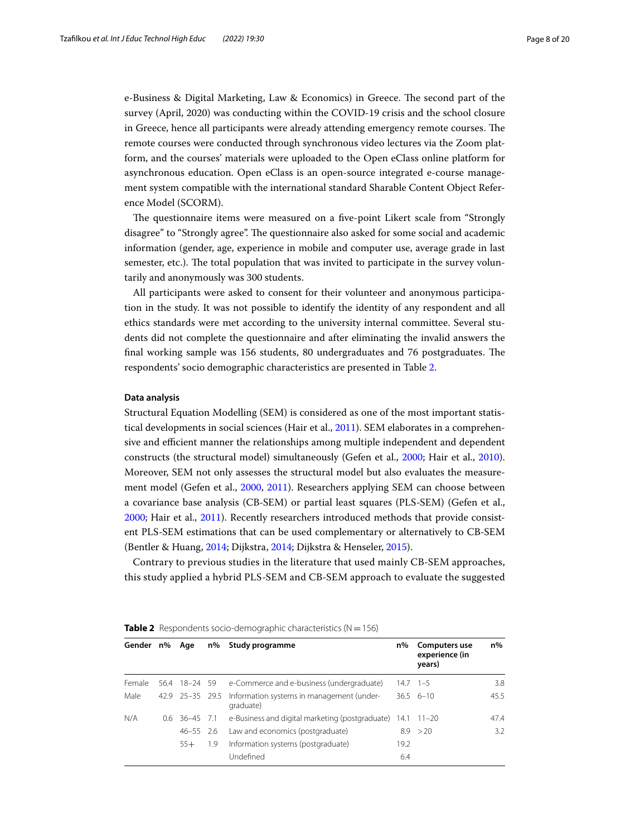e-Business & Digital Marketing, Law & Economics) in Greece. The second part of the survey (April, 2020) was conducting within the COVID-19 crisis and the school closure in Greece, hence all participants were already attending emergency remote courses. The remote courses were conducted through synchronous video lectures via the Zoom platform, and the courses' materials were uploaded to the Open eClass online platform for asynchronous education. Open eClass is an open-source integrated e-course management system compatible with the international standard Sharable Content Object Reference Model (SCORM).

The questionnaire items were measured on a five-point Likert scale from "Strongly disagree" to "Strongly agree". The questionnaire also asked for some social and academic information (gender, age, experience in mobile and computer use, average grade in last semester, etc.). The total population that was invited to participate in the survey voluntarily and anonymously was 300 students.

All participants were asked to consent for their volunteer and anonymous participation in the study. It was not possible to identify the identity of any respondent and all ethics standards were met according to the university internal committee. Several students did not complete the questionnaire and after eliminating the invalid answers the final working sample was 156 students, 80 undergraduates and 76 postgraduates. The respondents' socio demographic characteristics are presented in Table [2.](#page-7-0)

#### **Data analysis**

Structural Equation Modelling (SEM) is considered as one of the most important statistical developments in social sciences (Hair et al., [2011\)](#page-17-12). SEM elaborates in a comprehensive and efficient manner the relationships among multiple independent and dependent constructs (the structural model) simultaneously (Gefen et al., [2000;](#page-17-13) Hair et al., [2010](#page-17-14)). Moreover, SEM not only assesses the structural model but also evaluates the measurement model (Gefen et al., [2000](#page-17-13), [2011](#page-17-15)). Researchers applying SEM can choose between a covariance base analysis (CB-SEM) or partial least squares (PLS-SEM) (Gefen et al., [2000](#page-17-13); Hair et al., [2011](#page-17-12)). Recently researchers introduced methods that provide consistent PLS-SEM estimations that can be used complementary or alternatively to CB-SEM (Bentler & Huang, [2014](#page-16-5); Dijkstra, [2014;](#page-17-16) Dijkstra & Henseler, [2015\)](#page-17-17).

Contrary to previous studies in the literature that used mainly CB-SEM approaches, this study applied a hybrid PLS-SEM and CB-SEM approach to evaluate the suggested

| Gender n% |     | Age               | n%  | Study programme                                        | n%   | Computers use<br>experience (in<br>years) | $n\%$ |
|-----------|-----|-------------------|-----|--------------------------------------------------------|------|-------------------------------------------|-------|
| Female    |     | 56.4 18-24 59     |     | e-Commerce and e-business (undergraduate)              |      | $14.7$ $1-5$                              | 3.8   |
| Male      |     | 42.9 25 - 35 29.5 |     | Information systems in management (under-<br>graduate) |      | $36.5 \quad 6-10$                         | 45.5  |
| N/A       | 0.6 | $36 - 45$ 7.1     |     | e-Business and digital marketing (postgraduate) 14.1   |      | $11 - 20$                                 | 47.4  |
|           |     | $46 - 55$ 2.6     |     | Law and economics (postgraduate)                       |      | 8.9 > 20                                  | 3.2   |
|           |     | $55+$             | 1.9 | Information systems (postgraduate)                     | 19.2 |                                           |       |
|           |     |                   |     | Undefined                                              | 6.4  |                                           |       |

<span id="page-7-0"></span>

| <b>Table 2</b> Respondents socio-demographic characteristics ( $N = 156$ ) |  |
|----------------------------------------------------------------------------|--|
|----------------------------------------------------------------------------|--|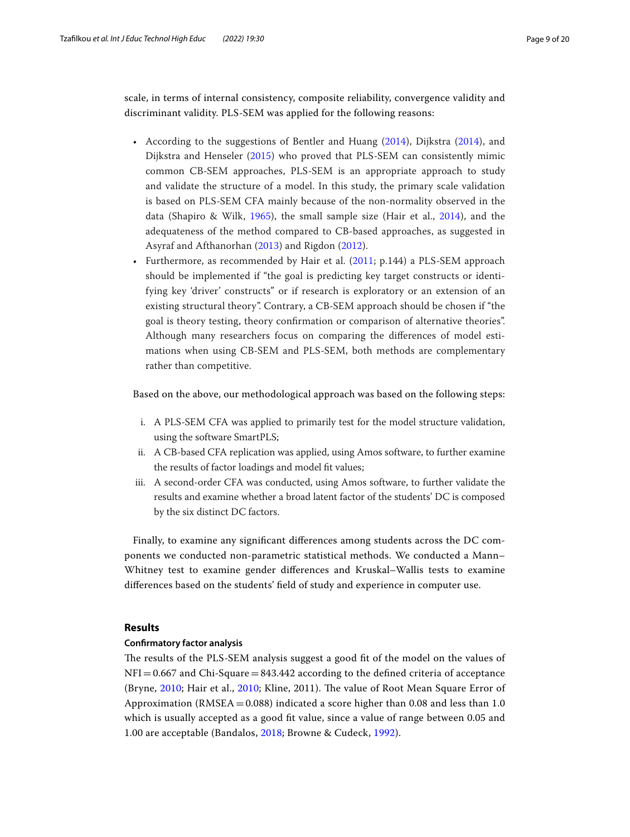scale, in terms of internal consistency, composite reliability, convergence validity and discriminant validity. PLS-SEM was applied for the following reasons:

- According to the suggestions of Bentler and Huang [\(2014](#page-16-5)), Dijkstra [\(2014](#page-17-16)), and Dijkstra and Henseler ([2015\)](#page-17-17) who proved that PLS-SEM can consistently mimic common CB-SEM approaches, PLS-SEM is an appropriate approach to study and validate the structure of a model. In this study, the primary scale validation is based on PLS-SEM CFA mainly because of the non-normality observed in the data (Shapiro & Wilk, [1965](#page-18-23)), the small sample size (Hair et al., [2014](#page-17-18)), and the adequateness of the method compared to CB-based approaches, as suggested in Asyraf and Afthanorhan ([2013\)](#page-16-3) and Rigdon ([2012\)](#page-18-24).
- Furthermore, as recommended by Hair et al. ([2011](#page-17-12); p.144) a PLS-SEM approach should be implemented if "the goal is predicting key target constructs or identifying key 'driver' constructs" or if research is exploratory or an extension of an existing structural theory". Contrary, a CB-SEM approach should be chosen if "the goal is theory testing, theory confrmation or comparison of alternative theories". Although many researchers focus on comparing the diferences of model estimations when using CB-SEM and PLS-SEM, both methods are complementary rather than competitive.

Based on the above, our methodological approach was based on the following steps:

- i. A PLS-SEM CFA was applied to primarily test for the model structure validation, using the software SmartPLS;
- ii. A CB-based CFA replication was applied, using Amos software, to further examine the results of factor loadings and model ft values;
- iii. A second-order CFA was conducted, using Amos software, to further validate the results and examine whether a broad latent factor of the students' DC is composed by the six distinct DC factors.

Finally, to examine any signifcant diferences among students across the DC components we conducted non-parametric statistical methods. We conducted a Mann– Whitney test to examine gender diferences and Kruskal–Wallis tests to examine diferences based on the students' feld of study and experience in computer use.

## **Results**

#### **Confrmatory factor analysis**

The results of the PLS-SEM analysis suggest a good fit of the model on the values of  $NFI = 0.667$  and Chi-Square = 843.442 according to the defined criteria of acceptance (Bryne, [2010;](#page-17-14) Hair et al., 2010; Kline, 2011). The value of Root Mean Square Error of Approximation ( $RMSEA = 0.088$ ) indicated a score higher than 0.08 and less than 1.0 which is usually accepted as a good fit value, since a value of range between 0.05 and 1.00 are acceptable (Bandalos, [2018;](#page-16-6) Browne & Cudeck, [1992\)](#page-17-20).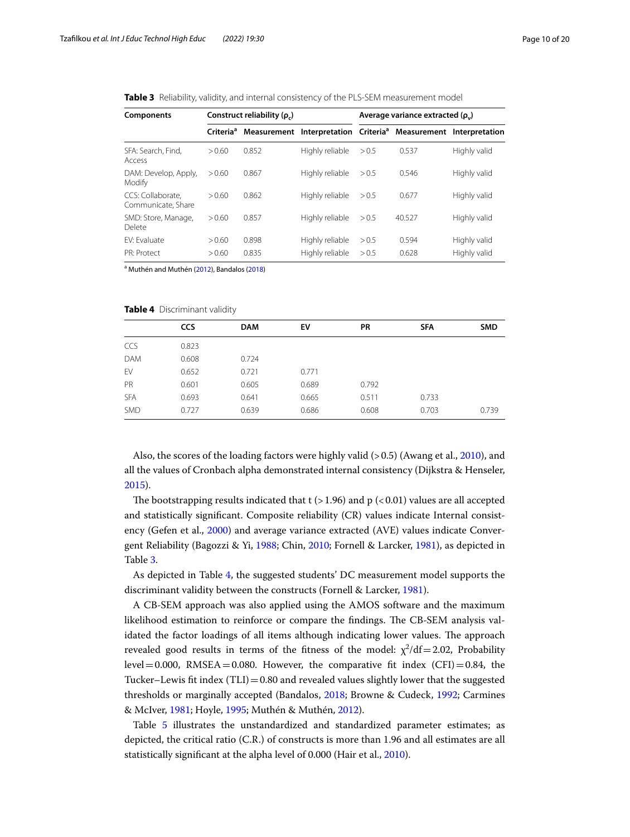<span id="page-9-0"></span>**Table 3** Reliability, validity, and internal consistency of the PLS-SEM measurement model

| Components                              | Construct reliability $(\rho_c)$ |       |                                                                             | Average variance extracted $(\rho_{n})$ |        |              |  |
|-----------------------------------------|----------------------------------|-------|-----------------------------------------------------------------------------|-----------------------------------------|--------|--------------|--|
|                                         | Criteria <sup>a</sup>            |       | Measurement Interpretation Criteria <sup>a</sup> Measurement Interpretation |                                         |        |              |  |
| SFA: Search, Find,<br>Access            | > 0.60                           | 0.852 | Highly reliable                                                             | > 0.5                                   | 0.537  | Highly valid |  |
| DAM: Develop, Apply,<br>Modify          | > 0.60                           | 0.867 | Highly reliable                                                             | > 0.5                                   | 0.546  | Highly valid |  |
| CCS: Collaborate.<br>Communicate, Share | > 0.60                           | 0.862 | Highly reliable                                                             | > 0.5                                   | 0.677  | Highly valid |  |
| SMD: Store, Manage,<br>Delete           | > 0.60                           | 0.857 | Highly reliable                                                             | > 0.5                                   | 40.527 | Highly valid |  |
| FV: Fvaluate                            | > 0.60                           | 0.898 | Highly reliable                                                             | > 0.5                                   | 0.594  | Highly valid |  |
| PR: Protect                             | > 0.60                           | 0.835 | Highly reliable                                                             | > 0.5                                   | 0.628  | Highly valid |  |

<sup>a</sup> Muthén and Muthén [\(2012\)](#page-18-25), Bandalos ([2018](#page-16-6))

<span id="page-9-1"></span>**Table 4** Discriminant validity

|            | CCS   | <b>DAM</b> | EV    | <b>PR</b> | <b>SFA</b> | <b>SMD</b> |
|------------|-------|------------|-------|-----------|------------|------------|
| CCS        | 0.823 |            |       |           |            |            |
| <b>DAM</b> | 0.608 | 0.724      |       |           |            |            |
| EV         | 0.652 | 0.721      | 0.771 |           |            |            |
| PR         | 0.601 | 0.605      | 0.689 | 0.792     |            |            |
| <b>SFA</b> | 0.693 | 0.641      | 0.665 | 0.511     | 0.733      |            |
| <b>SMD</b> | 0.727 | 0.639      | 0.686 | 0.608     | 0.703      | 0.739      |

Also, the scores of the loading factors were highly valid (> 0.5) (Awang et al., [2010\)](#page-16-7), and all the values of Cronbach alpha demonstrated internal consistency (Dijkstra & Henseler, [2015](#page-17-17)).

The bootstrapping results indicated that  $t$  (>1.96) and p (<0.01) values are all accepted and statistically signifcant. Composite reliability (CR) values indicate Internal consistency (Gefen et al., [2000\)](#page-17-13) and average variance extracted (AVE) values indicate Convergent Reliability (Bagozzi & Yi, [1988;](#page-16-8) Chin, [2010](#page-17-21); Fornell & Larcker, [1981\)](#page-17-22), as depicted in Table [3](#page-9-0).

As depicted in Table [4](#page-9-1), the suggested students' DC measurement model supports the discriminant validity between the constructs (Fornell & Larcker, [1981](#page-17-22)).

A CB-SEM approach was also applied using the AMOS software and the maximum likelihood estimation to reinforce or compare the findings. The CB-SEM analysis validated the factor loadings of all items although indicating lower values. The approach revealed good results in terms of the fitness of the model:  $\chi^2/df = 2.02$ , Probability  $level = 0.000$ , RMSEA $= 0.080$ . However, the comparative fit index (CFI) $= 0.84$ , the Tucker–Lewis fit index  $(TLI) = 0.80$  and revealed values slightly lower that the suggested thresholds or marginally accepted (Bandalos, [2018](#page-16-6); Browne & Cudeck, [1992;](#page-17-20) Carmines & McIver, [1981](#page-17-23); Hoyle, [1995](#page-17-24); Muthén & Muthén, [2012](#page-18-25)).

Table [5](#page-10-0) illustrates the unstandardized and standardized parameter estimates; as depicted, the critical ratio (C.R.) of constructs is more than 1.96 and all estimates are all statistically signifcant at the alpha level of 0.000 (Hair et al., [2010\)](#page-17-14).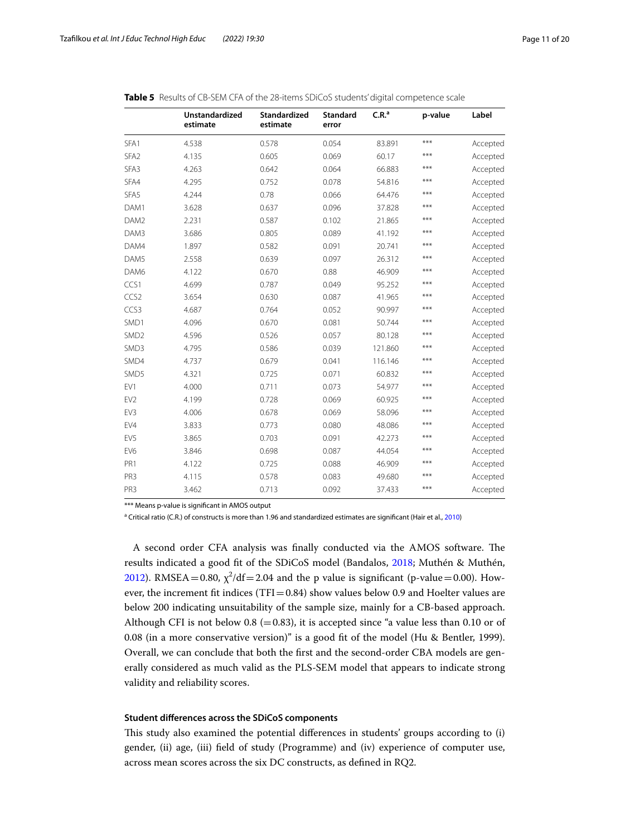|                  | Unstandardized<br>estimate | Standardized<br>estimate | <b>Standard</b><br>error | C.R. <sup>a</sup> | p-value | Label    |
|------------------|----------------------------|--------------------------|--------------------------|-------------------|---------|----------|
| SFA1             | 4.538                      | 0.578                    | 0.054                    | 83.891            | ***     | Accepted |
| SFA <sub>2</sub> | 4.135                      | 0.605                    | 0.069                    | 60.17             | ***     | Accepted |
| SFA3             | 4.263                      | 0.642                    | 0.064                    | 66.883            | ***     | Accepted |
| SFA4             | 4.295                      | 0.752                    | 0.078                    | 54.816            | ***     | Accepted |
| SFA5             | 4.244                      | 0.78                     | 0.066                    | 64.476            | ***     | Accepted |
| DAM1             | 3.628                      | 0.637                    | 0.096                    | 37.828            | ***     | Accepted |
| DAM <sub>2</sub> | 2.231                      | 0.587                    | 0.102                    | 21.865            | ***     | Accepted |
| DAM3             | 3.686                      | 0.805                    | 0.089                    | 41.192            | ***     | Accepted |
| DAM4             | 1.897                      | 0.582                    | 0.091                    | 20.741            | ***     | Accepted |
| DAM5             | 2.558                      | 0.639                    | 0.097                    | 26.312            | ***     | Accepted |
| DAM6             | 4.122                      | 0.670                    | 0.88                     | 46.909            | ***     | Accepted |
| CCS1             | 4.699                      | 0.787                    | 0.049                    | 95.252            | ***     | Accepted |
| CCS <sub>2</sub> | 3.654                      | 0.630                    | 0.087                    | 41.965            | ***     | Accepted |
| CCS3             | 4.687                      | 0.764                    | 0.052                    | 90.997            | ***     | Accepted |
| SMD1             | 4.096                      | 0.670                    | 0.081                    | 50.744            | ***     | Accepted |
| SMD <sub>2</sub> | 4.596                      | 0.526                    | 0.057                    | 80.128            | $***$   | Accepted |
| SMD3             | 4.795                      | 0.586                    | 0.039                    | 121.860           | ***     | Accepted |
| SMD4             | 4.737                      | 0.679                    | 0.041                    | 116.146           | ***     | Accepted |
| SMD5             | 4.321                      | 0.725                    | 0.071                    | 60.832            | ***     | Accepted |
| EV1              | 4.000                      | 0.711                    | 0.073                    | 54.977            | ***     | Accepted |
| EV <sub>2</sub>  | 4.199                      | 0.728                    | 0.069                    | 60.925            | ***     | Accepted |
| EV3              | 4.006                      | 0.678                    | 0.069                    | 58.096            | ***     | Accepted |
| EV4              | 3.833                      | 0.773                    | 0.080                    | 48.086            | ***     | Accepted |
| EV <sub>5</sub>  | 3.865                      | 0.703                    | 0.091                    | 42.273            | ***     | Accepted |
| EV <sub>6</sub>  | 3.846                      | 0.698                    | 0.087                    | 44.054            | $***$   | Accepted |
| PR1              | 4.122                      | 0.725                    | 0.088                    | 46.909            | ***     | Accepted |
| PR3              | 4.115                      | 0.578                    | 0.083                    | 49.680            | ***     | Accepted |
| PR <sub>3</sub>  | 3.462                      | 0.713                    | 0.092                    | 37.433            | $***$   | Accepted |

<span id="page-10-0"></span>

|  | <b>Table 5</b> Results of CB-SEM CFA of the 28-items SDiCoS students' digital competence scale |  |
|--|------------------------------------------------------------------------------------------------|--|

\*\*\* Means p-value is signifcant in AMOS output

<sup>a</sup> Critical ratio (C.R.) of constructs is more than 1.96 and standardized estimates are significant (Hair et al., [2010\)](#page-17-14)

A second order CFA analysis was finally conducted via the AMOS software. The results indicated a good ft of the SDiCoS model (Bandalos, [2018](#page-16-6); Muthén & Muthén, [2012](#page-18-25)). RMSEA = 0.80,  $\chi^2/df$  = 2.04 and the p value is significant (p-value = 0.00). However, the increment fit indices (TFI=0.84) show values below 0.9 and Hoelter values are below 200 indicating unsuitability of the sample size, mainly for a CB-based approach. Although CFI is not below 0.8 (=0.83), it is accepted since "a value less than 0.10 or of 0.08 (in a more conservative version)" is a good ft of the model (Hu & Bentler, 1999). Overall, we can conclude that both the frst and the second-order CBA models are generally considered as much valid as the PLS-SEM model that appears to indicate strong validity and reliability scores.

#### **Student diferences across the SDiCoS components**

Tis study also examined the potential diferences in students' groups according to (i) gender, (ii) age, (iii) feld of study (Programme) and (iv) experience of computer use, across mean scores across the six DC constructs, as defned in RQ2.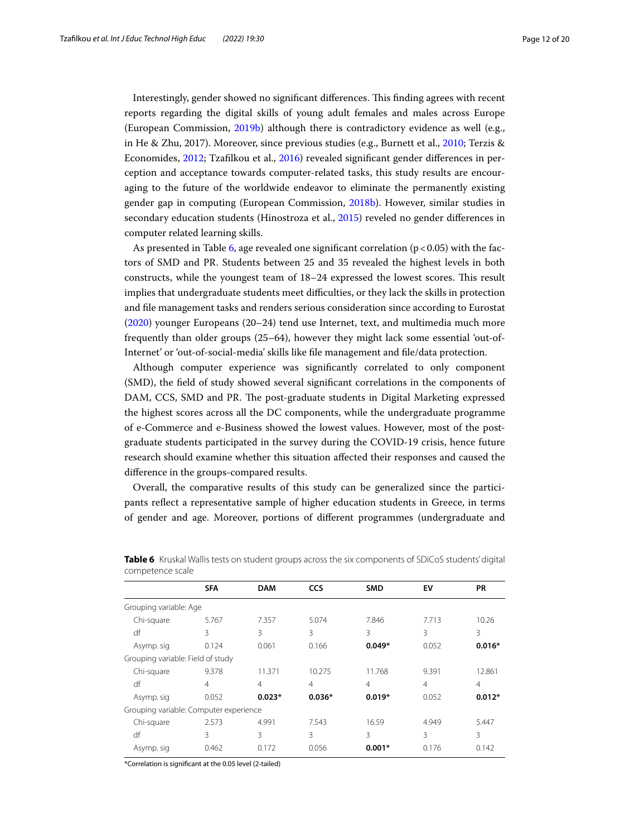Interestingly, gender showed no signifcant diferences. Tis fnding agrees with recent reports regarding the digital skills of young adult females and males across Europe (European Commission, [2019b](#page-17-25)) although there is contradictory evidence as well (e.g., in He & Zhu, 2017). Moreover, since previous studies (e.g., Burnett et al., [2010](#page-17-26); Terzis & Economides, [2012;](#page-18-26) Tzaflkou et al., [2016](#page-18-27)) revealed signifcant gender diferences in perception and acceptance towards computer-related tasks, this study results are encouraging to the future of the worldwide endeavor to eliminate the permanently existing gender gap in computing (European Commission, [2018b](#page-17-27)). However, similar studies in secondary education students (Hinostroza et al., [2015](#page-17-28)) reveled no gender diferences in computer related learning skills.

As presented in Table [6](#page-11-0), age revealed one significant correlation ( $p < 0.05$ ) with the factors of SMD and PR. Students between 25 and 35 revealed the highest levels in both constructs, while the youngest team of  $18-24$  expressed the lowest scores. This result implies that undergraduate students meet difculties, or they lack the skills in protection and fle management tasks and renders serious consideration since according to Eurostat ([2020\)](#page-17-29) younger Europeans (20–24) tend use Internet, text, and multimedia much more frequently than older groups (25–64), however they might lack some essential 'out-of-Internet' or 'out-of-social-media' skills like fle management and fle/data protection.

Although computer experience was signifcantly correlated to only component (SMD), the feld of study showed several signifcant correlations in the components of DAM, CCS, SMD and PR. The post-graduate students in Digital Marketing expressed the highest scores across all the DC components, while the undergraduate programme of e-Commerce and e-Business showed the lowest values. However, most of the postgraduate students participated in the survey during the COVID-19 crisis, hence future research should examine whether this situation afected their responses and caused the diference in the groups-compared results.

Overall, the comparative results of this study can be generalized since the participants refect a representative sample of higher education students in Greece, in terms of gender and age. Moreover, portions of diferent programmes (undergraduate and

|                                        | <b>SFA</b>     | <b>DAM</b> | <b>CCS</b> | <b>SMD</b> | EV    | PR             |
|----------------------------------------|----------------|------------|------------|------------|-------|----------------|
| Grouping variable: Age                 |                |            |            |            |       |                |
| Chi-square                             | 5.767          | 7.357      | 5.074      | 7.846      | 7.713 | 10.26          |
| df                                     | 3              | 3          | 3          | 3          | 3     | 3              |
| Asymp. sig                             | 0.124          | 0.061      | 0.166      | $0.049*$   | 0.052 | $0.016*$       |
| Grouping variable: Field of study      |                |            |            |            |       |                |
| Chi-square                             | 9.378          | 11.371     | 10.275     | 11.768     | 9.391 | 12.861         |
| df                                     | $\overline{4}$ | 4          | 4          | 4          | 4     | $\overline{4}$ |
| Asymp. sig                             | 0.052          | $0.023*$   | $0.036*$   | $0.019*$   | 0.052 | $0.012*$       |
| Grouping variable: Computer experience |                |            |            |            |       |                |
| Chi-square                             | 2.573          | 4.991      | 7.543      | 16.59      | 4.949 | 5.447          |
| df                                     | 3              | 3          | 3          | 3          | 3     | 3              |
| Asymp. sig                             | 0.462          | 0.172      | 0.056      | $0.001*$   | 0.176 | 0.142          |
|                                        |                |            |            |            |       |                |

<span id="page-11-0"></span>**Table 6** Kruskal Wallis tests on student groups across the six components of SDiCoS students' digital competence scale

\*Correlation is signifcant at the 0.05 level (2-tailed)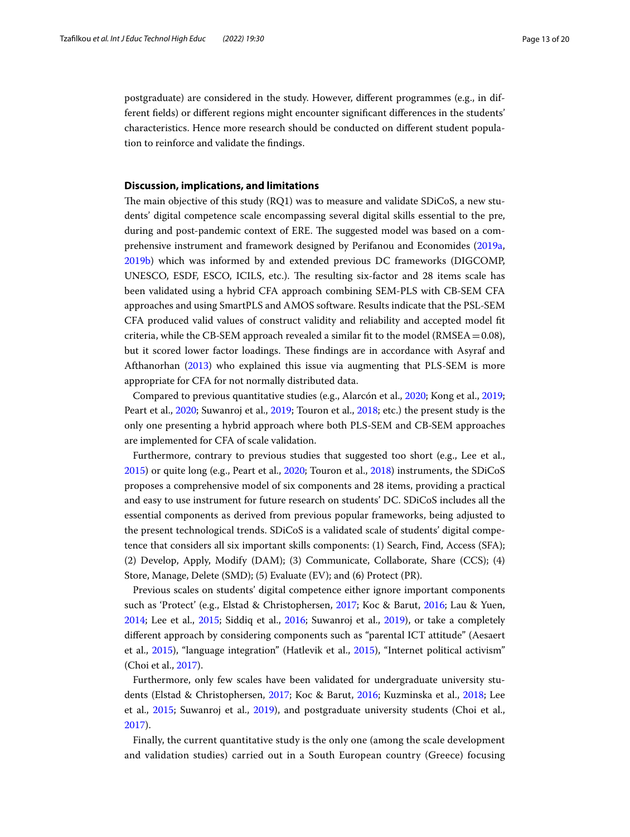postgraduate) are considered in the study. However, diferent programmes (e.g., in different felds) or diferent regions might encounter signifcant diferences in the students' characteristics. Hence more research should be conducted on diferent student population to reinforce and validate the fndings.

#### **Discussion, implications, and limitations**

The main objective of this study (RQ1) was to measure and validate SDiCoS, a new students' digital competence scale encompassing several digital skills essential to the pre, during and post-pandemic context of ERE. The suggested model was based on a comprehensive instrument and framework designed by Perifanou and Economides [\(2019a](#page-18-10), [2019b](#page-18-7)) which was informed by and extended previous DC frameworks (DIGCOMP, UNESCO, ESDF, ESCO, ICILS, etc.). The resulting six-factor and 28 items scale has been validated using a hybrid CFA approach combining SEM-PLS with CB-SEM CFA approaches and using SmartPLS and AMOS software. Results indicate that the PSL-SEM CFA produced valid values of construct validity and reliability and accepted model ft criteria, while the CB-SEM approach revealed a similar fit to the model (RMSEA =  $0.08$ ), but it scored lower factor loadings. These findings are in accordance with Asyraf and Afthanorhan ([2013](#page-16-3)) who explained this issue via augmenting that PLS-SEM is more appropriate for CFA for not normally distributed data.

Compared to previous quantitative studies (e.g., Alarcón et al., [2020;](#page-16-1) Kong et al., [2019](#page-18-19); Peart et al., [2020;](#page-18-6) Suwanroj et al., [2019;](#page-18-18) Touron et al., [2018](#page-18-14); etc.) the present study is the only one presenting a hybrid approach where both PLS-SEM and CB-SEM approaches are implemented for CFA of scale validation.

Furthermore, contrary to previous studies that suggested too short (e.g., Lee et al., [2015](#page-18-8)) or quite long (e.g., Peart et al., [2020](#page-18-6); Touron et al., [2018\)](#page-18-14) instruments, the SDiCoS proposes a comprehensive model of six components and 28 items, providing a practical and easy to use instrument for future research on students' DC. SDiCoS includes all the essential components as derived from previous popular frameworks, being adjusted to the present technological trends. SDiCoS is a validated scale of students' digital competence that considers all six important skills components: (1) Search, Find, Access (SFA); (2) Develop, Apply, Modify (DAM); (3) Communicate, Collaborate, Share (CCS); (4) Store, Manage, Delete (SMD); (5) Evaluate (EV); and (6) Protect (PR).

Previous scales on students' digital competence either ignore important components such as 'Protect' (e.g., Elstad & Christophersen, [2017](#page-17-10); Koc & Barut, [2016;](#page-18-22) Lau & Yuen, [2014](#page-18-15); Lee et al., [2015](#page-18-8); Siddiq et al., [2016;](#page-18-16) Suwanroj et al., [2019\)](#page-18-18), or take a completely diferent approach by considering components such as "parental ICT attitude" (Aesaert et al., [2015](#page-16-2)), "language integration" (Hatlevik et al., [2015](#page-17-8)), "Internet political activism" (Choi et al., [2017\)](#page-17-11).

Furthermore, only few scales have been validated for undergraduate university students (Elstad & Christophersen, [2017;](#page-17-10) Koc & Barut, [2016;](#page-18-22) Kuzminska et al., [2018;](#page-18-9) Lee et al., [2015](#page-18-8); Suwanroj et al., [2019](#page-18-18)), and postgraduate university students (Choi et al., [2017](#page-17-11)).

Finally, the current quantitative study is the only one (among the scale development and validation studies) carried out in a South European country (Greece) focusing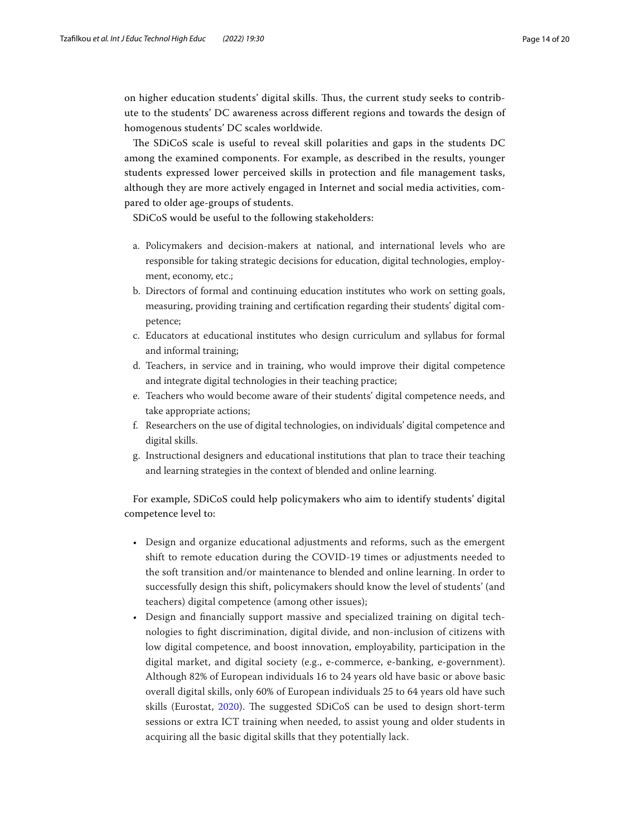on higher education students' digital skills. Tus, the current study seeks to contribute to the students' DC awareness across diferent regions and towards the design of homogenous students' DC scales worldwide.

The SDiCoS scale is useful to reveal skill polarities and gaps in the students DC among the examined components. For example, as described in the results, younger students expressed lower perceived skills in protection and fle management tasks, although they are more actively engaged in Internet and social media activities, compared to older age-groups of students.

SDiCoS would be useful to the following stakeholders:

- a. Policymakers and decision-makers at national, and international levels who are responsible for taking strategic decisions for education, digital technologies, employment, economy, etc.;
- b. Directors of formal and continuing education institutes who work on setting goals, measuring, providing training and certifcation regarding their students' digital competence;
- c. Educators at educational institutes who design curriculum and syllabus for formal and informal training;
- d. Teachers, in service and in training, who would improve their digital competence and integrate digital technologies in their teaching practice;
- e. Teachers who would become aware of their students' digital competence needs, and take appropriate actions;
- f. Researchers on the use of digital technologies, on individuals' digital competence and digital skills.
- g. Instructional designers and educational institutions that plan to trace their teaching and learning strategies in the context of blended and online learning.

For example, SDiCoS could help policymakers who aim to identify students' digital competence level to:

- Design and organize educational adjustments and reforms, such as the emergent shift to remote education during the COVID-19 times or adjustments needed to the soft transition and/or maintenance to blended and online learning. In order to successfully design this shift, policymakers should know the level of students' (and teachers) digital competence (among other issues);
- Design and fnancially support massive and specialized training on digital technologies to fght discrimination, digital divide, and non-inclusion of citizens with low digital competence, and boost innovation, employability, participation in the digital market, and digital society (e.g., e-commerce, e-banking, e-government). Although 82% of European individuals 16 to 24 years old have basic or above basic overall digital skills, only 60% of European individuals 25 to 64 years old have such skills (Eurostat, [2020](#page-17-29)). The suggested SDiCoS can be used to design short-term sessions or extra ICT training when needed, to assist young and older students in acquiring all the basic digital skills that they potentially lack.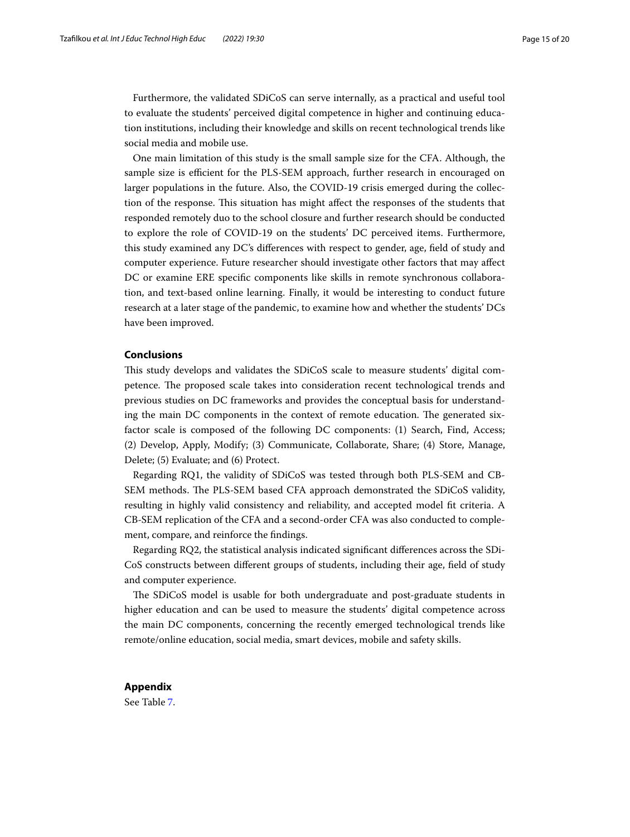Furthermore, the validated SDiCoS can serve internally, as a practical and useful tool to evaluate the students' perceived digital competence in higher and continuing education institutions, including their knowledge and skills on recent technological trends like social media and mobile use.

One main limitation of this study is the small sample size for the CFA. Although, the sample size is efficient for the PLS-SEM approach, further research in encouraged on larger populations in the future. Also, the COVID-19 crisis emerged during the collection of the response. This situation has might affect the responses of the students that responded remotely duo to the school closure and further research should be conducted to explore the role of COVID-19 on the students' DC perceived items. Furthermore, this study examined any DC's diferences with respect to gender, age, feld of study and computer experience. Future researcher should investigate other factors that may afect DC or examine ERE specifc components like skills in remote synchronous collaboration, and text-based online learning. Finally, it would be interesting to conduct future research at a later stage of the pandemic, to examine how and whether the students' DCs have been improved.

#### **Conclusions**

Tis study develops and validates the SDiCoS scale to measure students' digital competence. The proposed scale takes into consideration recent technological trends and previous studies on DC frameworks and provides the conceptual basis for understanding the main DC components in the context of remote education. The generated sixfactor scale is composed of the following DC components: (1) Search, Find, Access; (2) Develop, Apply, Modify; (3) Communicate, Collaborate, Share; (4) Store, Manage, Delete; (5) Evaluate; and (6) Protect.

Regarding RQ1, the validity of SDiCoS was tested through both PLS-SEM and CB-SEM methods. The PLS-SEM based CFA approach demonstrated the SDiCoS validity, resulting in highly valid consistency and reliability, and accepted model ft criteria. A CB-SEM replication of the CFA and a second-order CFA was also conducted to complement, compare, and reinforce the fndings.

Regarding RQ2, the statistical analysis indicated signifcant diferences across the SDi-CoS constructs between diferent groups of students, including their age, feld of study and computer experience.

The SDiCoS model is usable for both undergraduate and post-graduate students in higher education and can be used to measure the students' digital competence across the main DC components, concerning the recently emerged technological trends like remote/online education, social media, smart devices, mobile and safety skills.

### <span id="page-14-0"></span>**Appendix**

See Table [7.](#page-15-0)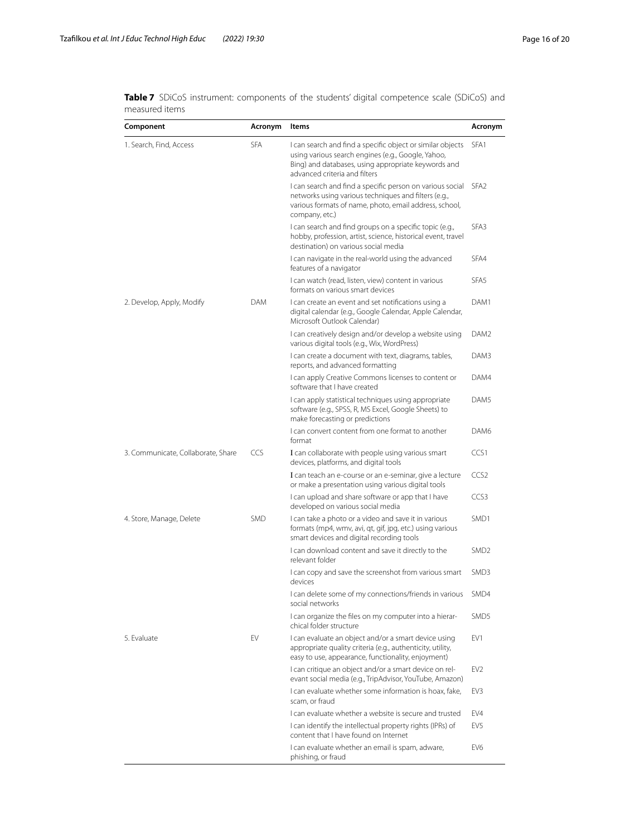| Component                          | Acronym    | Items                                                                                                                                                                                                    | Acronym          |
|------------------------------------|------------|----------------------------------------------------------------------------------------------------------------------------------------------------------------------------------------------------------|------------------|
| 1. Search, Find, Access            | SFA        | I can search and find a specific object or similar objects<br>using various search engines (e.g., Google, Yahoo,<br>Bing) and databases, using appropriate keywords and<br>advanced criteria and filters | SFA <sub>1</sub> |
|                                    |            | I can search and find a specific person on various social<br>networks using various techniques and filters (e.g.,<br>various formats of name, photo, email address, school,<br>company, etc.)            | SFA <sub>2</sub> |
|                                    |            | I can search and find groups on a specific topic (e.g.,<br>hobby, profession, artist, science, historical event, travel<br>destination) on various social media                                          | SFA <sub>3</sub> |
|                                    |            | I can navigate in the real-world using the advanced<br>features of a navigator                                                                                                                           | SFA4             |
|                                    |            | I can watch (read, listen, view) content in various<br>formats on various smart devices                                                                                                                  | SFA <sub>5</sub> |
| 2. Develop, Apply, Modify          | <b>DAM</b> | I can create an event and set notifications using a<br>digital calendar (e.g., Google Calendar, Apple Calendar,<br>Microsoft Outlook Calendar)                                                           | DAM1             |
|                                    |            | I can creatively design and/or develop a website using<br>various digital tools (e.g., Wix, WordPress)                                                                                                   | DAM2             |
|                                    |            | I can create a document with text, diagrams, tables,<br>reports, and advanced formatting                                                                                                                 | DAM3             |
|                                    |            | I can apply Creative Commons licenses to content or<br>software that I have created                                                                                                                      | DAM4             |
|                                    |            | I can apply statistical techniques using appropriate<br>software (e.g., SPSS, R, MS Excel, Google Sheets) to<br>make forecasting or predictions                                                          | DAM5             |
|                                    |            | I can convert content from one format to another<br>format                                                                                                                                               | DAM6             |
| 3. Communicate, Collaborate, Share | <b>CCS</b> | I can collaborate with people using various smart<br>devices, platforms, and digital tools                                                                                                               | CCS1             |
|                                    |            | I can teach an e-course or an e-seminar, give a lecture<br>or make a presentation using various digital tools                                                                                            | CCS <sub>2</sub> |
|                                    |            | I can upload and share software or app that I have<br>developed on various social media                                                                                                                  | CCS <sub>3</sub> |
| 4. Store, Manage, Delete           | <b>SMD</b> | I can take a photo or a video and save it in various<br>formats (mp4, wmv, avi, qt, qif, jpq, etc.) using various<br>smart devices and digital recording tools                                           | SMD1             |
|                                    |            | I can download content and save it directly to the<br>relevant folder                                                                                                                                    | SMD <sub>2</sub> |
|                                    |            | I can copy and save the screenshot from various smart<br>devices                                                                                                                                         | SMD3             |
|                                    |            | I can delete some of my connections/friends in various<br>social networks                                                                                                                                | SMD4             |
|                                    |            | I can organize the files on my computer into a hierar-<br>chical folder structure                                                                                                                        | SMD <sub>5</sub> |
| 5. Evaluate                        | EV         | I can evaluate an object and/or a smart device using<br>appropriate quality criteria (e.g., authenticity, utility,<br>easy to use, appearance, functionality, enjoyment)                                 | EV1              |
|                                    |            | I can critique an object and/or a smart device on rel-<br>evant social media (e.g., TripAdvisor, YouTube, Amazon)                                                                                        | EV <sub>2</sub>  |
|                                    |            | I can evaluate whether some information is hoax, fake,<br>scam, or fraud                                                                                                                                 | EV <sub>3</sub>  |
|                                    |            | I can evaluate whether a website is secure and trusted                                                                                                                                                   | EV4              |
|                                    |            | I can identify the intellectual property rights (IPRs) of<br>content that I have found on Internet                                                                                                       | EV5              |
|                                    |            | I can evaluate whether an email is spam, adware,<br>phishing, or fraud                                                                                                                                   | EV <sub>6</sub>  |

<span id="page-15-0"></span>**Table 7** SDiCoS instrument: components of the students' digital competence scale (SDiCoS) and measured items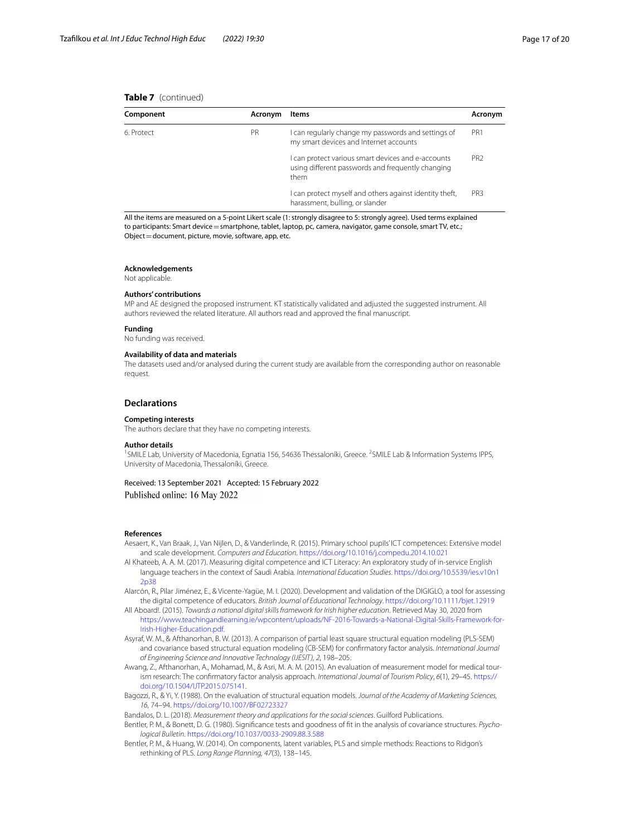#### **Table 7** (continued)

| Component        | Acronym | Items                                                                                                         | Acronym         |
|------------------|---------|---------------------------------------------------------------------------------------------------------------|-----------------|
| PR<br>6. Protect |         | I can regularly change my passwords and settings of<br>my smart devices and Internet accounts                 | PR <sub>1</sub> |
|                  |         | can protect various smart devices and e-accounts<br>using different passwords and frequently changing<br>them | PR <sub>2</sub> |
|                  |         | can protect myself and others against identity theft,<br>harassment, bulling, or slander                      | PR <sub>3</sub> |

All the items are measured on a 5-point Likert scale (1: strongly disagree to 5: strongly agree). Used terms explained to participants: Smart device = smartphone, tablet, laptop, pc, camera, navigator, game console, smart TV, etc.; Object=document, picture, movie, software, app, etc.

#### **Acknowledgements**

Not applicable.

#### **Authors' contributions**

MP and AE designed the proposed instrument. KT statistically validated and adjusted the suggested instrument. All authors reviewed the related literature. All authors read and approved the fnal manuscript.

#### **Funding**

No funding was received.

#### **Availability of data and materials**

The datasets used and/or analysed during the current study are available from the corresponding author on reasonable request.

#### **Declarations**

**Competing interests**

The authors declare that they have no competing interests.

#### **Author details**

<sup>1</sup>SMILE Lab, University of Macedonia, Egnatia 156, 54636 Thessaloníki, Greece. <sup>2</sup>SMILE Lab & Information Systems IPPS, University of Macedonia, Thessaloníki, Greece.

#### Received: 13 September 2021 Accepted: 15 February 2022

Published online: 16 May 2022

#### **References**

- <span id="page-16-2"></span>Aesaert, K., Van Braak, J., Van Nijlen, D., & Vanderlinde, R. (2015). Primary school pupils' ICT competences: Extensive model and scale development. *Computers and Education*.<https://doi.org/10.1016/j.compedu.2014.10.021>
- <span id="page-16-4"></span>Al Khateeb, A. A. M. (2017). Measuring digital competence and ICT Literacy: An exploratory study of in-service English language teachers in the context of Saudi Arabia. *International Education Studies*. [https://doi.org/10.5539/ies.v10n1](https://doi.org/10.5539/ies.v10n12p38) [2p38](https://doi.org/10.5539/ies.v10n12p38)
- <span id="page-16-1"></span>Alarcón, R., Pilar Jiménez, E., & Vicente-Yagüe, M. I. (2020). Development and validation of the DIGIGLO, a tool for assessing the digital competence of educators. *British Journal of Educational Technology*. <https://doi.org/10.1111/bjet.12919>
- <span id="page-16-0"></span>All Aboard!. (2015). *Towards a national digital skills framework for Irish higher education*. Retrieved May 30, 2020 from [https://www.teachingandlearning.ie/wpcontent/uploads/NF-2016-Towards-a-National-Digital-Skills-Framework-for-](https://www.teachingandlearning.ie/wpcontent/uploads/NF-2016-Towards-a-National-Digital-Skills-Framework-for-Irish-Higher-Education.pdf)[Irish-Higher-Education.pdf](https://www.teachingandlearning.ie/wpcontent/uploads/NF-2016-Towards-a-National-Digital-Skills-Framework-for-Irish-Higher-Education.pdf).
- <span id="page-16-3"></span>Asyraf, W. M., & Afthanorhan, B. W. (2013). A comparison of partial least square structural equation modeling (PLS-SEM) and covariance based structural equation modeling (CB-SEM) for confrmatory factor analysis. *International Journal of Engineering Science and Innovative Technology (IJESIT), 2*, 198–205.
- <span id="page-16-7"></span>Awang, Z., Afthanorhan, A., Mohamad, M., & Asri, M. A. M. (2015). An evaluation of measurement model for medical tourism research: The confrmatory factor analysis approach. *International Journal of Tourism Policy*, *6*(1), 29–45. [https://](https://doi.org/10.1504/IJTP.2015.075141) [doi.org/10.1504/IJTP.2015.075141.](https://doi.org/10.1504/IJTP.2015.075141)
- <span id="page-16-8"></span>Bagozzi, R., & Yi, Y. (1988). On the evaluation of structural equation models. *Journal of the Academy of Marketing Sciences, 16*, 74–94. <https://doi.org/10.1007/BF02723327>

<span id="page-16-6"></span>Bandalos, D. L. (2018). *Measurement theory and applications for the social sciences*. Guilford Publications.

- Bentler, P. M., & Bonett, D. G. (1980). Signifcance tests and goodness of ft in the analysis of covariance structures. *Psychological Bulletin*.<https://doi.org/10.1037/0033-2909.88.3.588>
- <span id="page-16-5"></span>Bentler, P. M., & Huang, W. (2014). On components, latent variables, PLS and simple methods: Reactions to Ridgon's rethinking of PLS. *Long Range Planning, 47*(3), 138–145.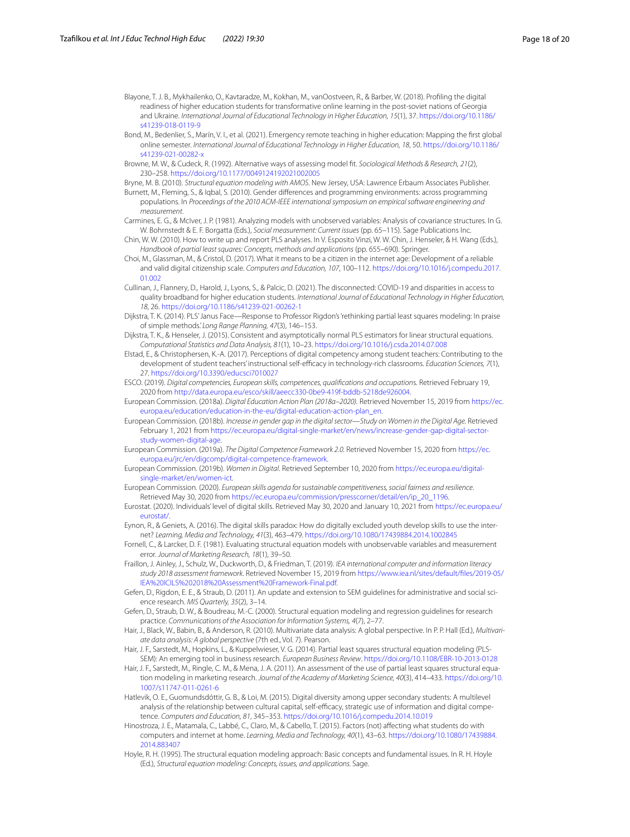<span id="page-17-9"></span>Blayone, T. J. B., Mykhailenko, O., Kavtaradze, M., Kokhan, M., vanOostveen, R., & Barber, W. (2018). Profling the digital readiness of higher education students for transformative online learning in the post-soviet nations of Georgia and Ukraine. *International Journal of Educational Technology in Higher Education, 15*(1), 37. [https://doi.org/10.1186/](https://doi.org/10.1186/s41239-018-0119-9) [s41239-018-0119-9](https://doi.org/10.1186/s41239-018-0119-9)

<span id="page-17-0"></span>Bond, M., Bedenlier, S., Marín, V. I., et al. (2021). Emergency remote teaching in higher education: Mapping the frst global online semester. *International Journal of Educational Technology in Higher Education, 18*, 50. [https://doi.org/10.1186/](https://doi.org/10.1186/s41239-021-00282-x) s41239-021-00282-y

<span id="page-17-20"></span>Browne, M. W., & Cudeck, R. (1992). Alternative ways of assessing model ft. *Sociological Methods & Research, 21*(2), 230–258.<https://doi.org/10.1177/0049124192021002005>

<span id="page-17-26"></span><span id="page-17-19"></span>Bryne, M. B. (2010). *Structural equation modeling with AMOS*. New Jersey, USA: Lawrence Erbaum Associates Publisher. Burnett, M., Fleming, S., & Iqbal, S. (2010). Gender diferences and programming environments: across programming

- populations. In *Proceedings of the 2010 ACM-IEEE international symposium on empirical software engineering and measurement*.
- <span id="page-17-23"></span>Carmines, E. G., & McIver, J. P. (1981). Analyzing models with unobserved variables: Analysis of covariance structures. In G. W. Bohrnstedt & E. F. Borgatta (Eds.), *Social measurement: Current issues* (pp. 65–115). Sage Publications Inc.
- <span id="page-17-21"></span>Chin, W. W. (2010). How to write up and report PLS analyses. In V. Esposito Vinzi, W. W. Chin, J. Henseler, & H. Wang (Eds.), *Handbook of partial least squares: Concepts, methods and applications* (pp. 655–690). Springer.
- <span id="page-17-11"></span>Choi, M., Glassman, M., & Cristol, D. (2017). What it means to be a citizen in the internet age: Development of a reliable and valid digital citizenship scale. *Computers and Education, 107*, 100–112. [https://doi.org/10.1016/j.compedu.2017.](https://doi.org/10.1016/j.compedu.2017.01.002) [01.002](https://doi.org/10.1016/j.compedu.2017.01.002)
- <span id="page-17-4"></span>Cullinan, J., Flannery, D., Harold, J., Lyons, S., & Palcic, D. (2021). The disconnected: COVID-19 and disparities in access to quality broadband for higher education students. *International Journal of Educational Technology in Higher Education, 18*, 26. <https://doi.org/10.1186/s41239-021-00262-1>
- <span id="page-17-16"></span>Dijkstra, T. K. (2014). PLS' Janus Face—Response to Professor Rigdon's 'rethinking partial least squares modeling: In praise of simple methods.' *Long Range Planning, 47*(3), 146–153.
- <span id="page-17-17"></span>Dijkstra, T. K., & Henseler, J. (2015). Consistent and asymptotically normal PLS estimators for linear structural equations. *Computational Statistics and Data Analysis, 81*(1), 10–23. <https://doi.org/10.1016/j.csda.2014.07.008>
- <span id="page-17-10"></span>Elstad, E., & Christophersen, K.-A. (2017). Perceptions of digital competency among student teachers: Contributing to the development of student teachers' instructional self-efficacy in technology-rich classrooms. *Education Sciences, 7*(1), 27. <https://doi.org/10.3390/educsci7010027>
- <span id="page-17-6"></span>ESCO. (2019). *Digital competencies, European skills, competences, qualifcations and occupation*s. Retrieved February 19, 2020 from [http://data.europa.eu/esco/skill/aeecc330-0be9-419f-bddb-5218de926004.](http://data.europa.eu/esco/skill/aeecc330-0be9-419f-bddb-5218de926004)
- <span id="page-17-5"></span>European Commission. (2018a). *Digital Education Action Plan (2018a–2020).* Retrieved November 15, 2019 from [https://ec.](https://ec.europa.eu/education/education-in-the-eu/digital-education-action-plan_en) [europa.eu/education/education-in-the-eu/digital-education-action-plan\\_en.](https://ec.europa.eu/education/education-in-the-eu/digital-education-action-plan_en)
- <span id="page-17-27"></span>European Commission. (2018b). *Increase in gender gap in the digital sector—Study on Women in the Digital Age.* Retrieved February 1, 2021 from [https://ec.europa.eu/digital-single-market/en/news/increase-gender-gap-digital-sector](https://ec.europa.eu/digital-single-market/en/news/increase-gender-gap-digital-sector-study-women-digital-age)[study-women-digital-age.](https://ec.europa.eu/digital-single-market/en/news/increase-gender-gap-digital-sector-study-women-digital-age)
- <span id="page-17-1"></span>European Commission. (2019a). *The Digital Competence Framework 2.0.* Retrieved November 15, 2020 from [https://ec.](https://ec.europa.eu/jrc/en/digcomp/digital-competence-framework) [europa.eu/jrc/en/digcomp/digital-competence-framework](https://ec.europa.eu/jrc/en/digcomp/digital-competence-framework).
- <span id="page-17-25"></span>European Commission. (2019b). *Women in Digital*. Retrieved September 10, 2020 from [https://ec.europa.eu/digital](https://ec.europa.eu/digital-single-market/en/women-ict)[single-market/en/women-ict](https://ec.europa.eu/digital-single-market/en/women-ict).
- <span id="page-17-2"></span>European Commission. (2020). *European skills agenda for sustainable competitiveness, social fairness and resilience*. Retrieved May 30, 2020 from [https://ec.europa.eu/commission/presscorner/detail/en/ip\\_20\\_1196.](https://ec.europa.eu/commission/presscorner/detail/en/ip_20_1196)
- <span id="page-17-29"></span>Eurostat. (2020). Individuals' level of digital skills. Retrieved May 30, 2020 and January 10, 2021 from [https://ec.europa.eu/](https://ec.europa.eu/eurostat/) [eurostat/.](https://ec.europa.eu/eurostat/)
- <span id="page-17-3"></span>Eynon, R., & Geniets, A. (2016). The digital skills paradox: How do digitally excluded youth develop skills to use the internet? *Learning, Media and Technology, 41*(3), 463–479.<https://doi.org/10.1080/17439884.2014.1002845>
- <span id="page-17-22"></span>Fornell, C., & Larcker, D. F. (1981). Evaluating structural equation models with unobservable variables and measurement error. *Journal of Marketing Research, 18*(1), 39–50.
- <span id="page-17-7"></span>Fraillon, J. Ainley, J., Schulz, W., Duckworth, D., & Friedman, T. (2019). *IEA international computer and information literacy study 2018 assessment framework*. Retrieved November 15, 2019 from [https://www.iea.nl/sites/default/fles/2019-05/](https://www.iea.nl/sites/default/files/2019-05/IEA%20ICILS%202018%20Assessment%20Framework-Final.pdf) [IEA%20ICILS%202018%20Assessment%20Framework-Final.pdf](https://www.iea.nl/sites/default/files/2019-05/IEA%20ICILS%202018%20Assessment%20Framework-Final.pdf).
- <span id="page-17-15"></span>Gefen, D., Rigdon, E. E., & Straub, D. (2011). An update and extension to SEM guidelines for administrative and social science research. *MIS Quarterly, 35*(2), 3–14.
- <span id="page-17-13"></span>Gefen, D., Straub, D. W., & Boudreau, M.-C. (2000). Structural equation modeling and regression guidelines for research practice. *Communications of the Association for Information Systems, 4*(7), 2–77.
- <span id="page-17-14"></span>Hair, J., Black, W., Babin, B., & Anderson, R. (2010). Multivariate data analysis: A global perspective. In P. P. Hall (Ed.), *Multivariate data analysis: A global perspective* (7th ed., Vol. 7). Pearson.
- <span id="page-17-18"></span>Hair, J. F., Sarstedt, M., Hopkins, L., & Kuppelwieser, V. G. (2014). Partial least squares structural equation modeling (PLS-SEM): An emerging tool in business research. *European Business Review*.<https://doi.org/10.1108/EBR-10-2013-0128>
- <span id="page-17-12"></span>Hair, J. F., Sarstedt, M., Ringle, C. M., & Mena, J. A. (2011). An assessment of the use of partial least squares structural equation modeling in marketing research. *Journal of the Academy of Marketing Science, 40*(3), 414–433. [https://doi.org/10.](https://doi.org/10.1007/s11747-011-0261-6) [1007/s11747-011-0261-6](https://doi.org/10.1007/s11747-011-0261-6)
- <span id="page-17-8"></span>Hatlevik, O. E., Guomundsdóttir, G. B., & Loi, M. (2015). Digital diversity among upper secondary students: A multilevel analysis of the relationship between cultural capital, self-efficacy, strategic use of information and digital competence. *Computers and Education, 81*, 345–353.<https://doi.org/10.1016/j.compedu.2014.10.019>
- <span id="page-17-28"></span>Hinostroza, J. E., Matamala, C., Labbé, C., Claro, M., & Cabello, T. (2015). Factors (not) afecting what students do with computers and internet at home. *Learning, Media and Technology, 40*(1), 43–63. [https://doi.org/10.1080/17439884.](https://doi.org/10.1080/17439884.2014.883407) [2014.883407](https://doi.org/10.1080/17439884.2014.883407)
- <span id="page-17-24"></span>Hoyle, R. H. (1995). The structural equation modeling approach: Basic concepts and fundamental issues. In R. H. Hoyle (Ed.), *Structural equation modeling: Concepts, issues, and applications.* Sage.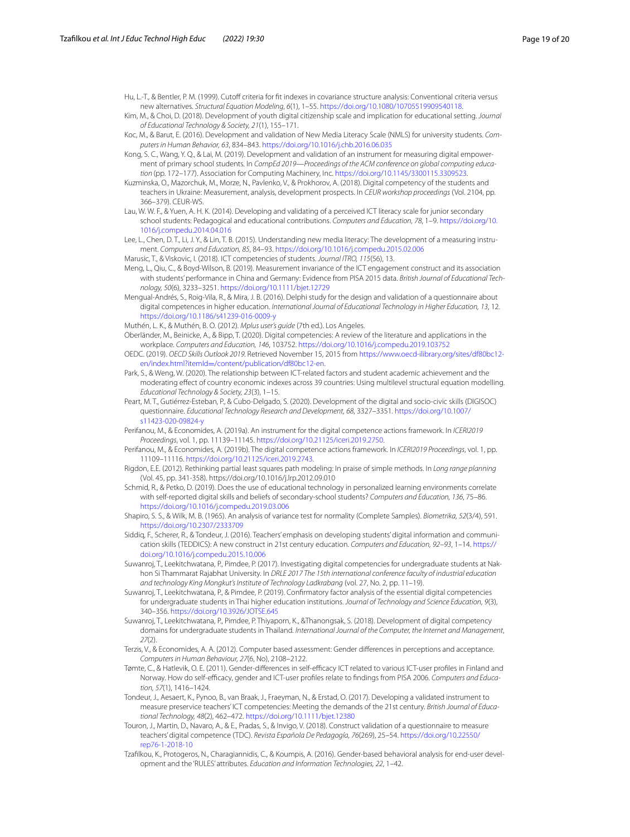Hu, L.-T., & Bentler, P. M. (1999). Cutoff criteria for fit indexes in covariance structure analysis: Conventional criteria versus new alternatives. *Structural Equation Modeling*, *6*(1), 1–55. [https://doi.org/10.1080/10705519909540118.](https://doi.org/10.1080/10705519909540118)

<span id="page-18-20"></span>Kim, M., & Choi, D. (2018). Development of youth digital citizenship scale and implication for educational setting. *Journal of Educational Technology & Society, 21*(1), 155–171.

<span id="page-18-22"></span>Koc, M., & Barut, E. (2016). Development and validation of New Media Literacy Scale (NMLS) for university students. *Computers in Human Behavior, 63*, 834–843.<https://doi.org/10.1016/j.chb.2016.06.035>

- <span id="page-18-19"></span>Kong, S. C., Wang, Y. Q., & Lai, M. (2019). Development and validation of an instrument for measuring digital empowerment of primary school students. In *CompEd 2019—Proceedings of the ACM conference on global computing education* (pp. 172–177). Association for Computing Machinery, Inc. <https://doi.org/10.1145/3300115.3309523>.
- <span id="page-18-9"></span>Kuzminska, O., Mazorchuk, M., Morze, N., Pavlenko, V., & Prokhorov, A. (2018). Digital competency of the students and teachers in Ukraine: Measurement, analysis, development prospects. In *CEUR workshop proceedings* (Vol. 2104, pp. 366–379). CEUR-WS.
- <span id="page-18-15"></span>Lau, W. W. F., & Yuen, A. H. K. (2014). Developing and validating of a perceived ICT literacy scale for junior secondary school students: Pedagogical and educational contributions. *Computers and Education, 78*, 1–9. [https://doi.org/10.](https://doi.org/10.1016/j.compedu.2014.04.016) [1016/j.compedu.2014.04.016](https://doi.org/10.1016/j.compedu.2014.04.016)
- <span id="page-18-8"></span>Lee, L., Chen, D. T., Li, J. Y., & Lin, T. B. (2015). Understanding new media literacy: The development of a measuring instrument. *Computers and Education, 85*, 84–93.<https://doi.org/10.1016/j.compedu.2015.02.006>
- <span id="page-18-1"></span>Marusic, T., & Viskovic, I. (2018). ICT competencies of students. *Journal ITRO, 115*(56), 13.
- <span id="page-18-4"></span>Meng, L., Qiu, C., & Boyd-Wilson, B. (2019). Measurement invariance of the ICT engagement construct and its association with students' performance in China and Germany: Evidence from PISA 2015 data. *British Journal of Educational Technology, 50*(6), 3233–3251. <https://doi.org/10.1111/bjet.12729>
- <span id="page-18-21"></span>Mengual-Andrés, S., Roig-Vila, R., & Mira, J. B. (2016). Delphi study for the design and validation of a questionnaire about digital competences in higher education. *International Journal of Educational Technology in Higher Education, 13*, 12. <https://doi.org/10.1186/s41239-016-0009-y>
- <span id="page-18-25"></span>Muthén, L. K., & Muthén, B. O. (2012). *Mplus user's guide* (7th ed.). Los Angeles.
- <span id="page-18-12"></span>Oberländer, M., Beinicke, A., & Bipp, T. (2020). Digital competencies: A review of the literature and applications in the workplace. *Computers and Education, 146*, 103752.<https://doi.org/10.1016/j.compedu.2019.103752>
- <span id="page-18-0"></span>OEDC. (2019). *OECD Skills Outlook 2019.* Retrieved November 15, 2015 from [https://www.oecd-ilibrary.org/sites/df80bc12](https://www.oecd-ilibrary.org/sites/df80bc12-en/index.html?itemId=/content/publication/df80bc12-en) en/index.html?itemId=[/content/publication/df80bc12-en.](https://www.oecd-ilibrary.org/sites/df80bc12-en/index.html?itemId=/content/publication/df80bc12-en)
- <span id="page-18-5"></span>Park, S., & Weng, W. (2020). The relationship between ICT-related factors and student academic achievement and the moderating efect of country economic indexes across 39 countries: Using multilevel structural equation modelling. *Educational Technology & Society, 23*(3), 1–15.
- <span id="page-18-6"></span>Peart, M. T., Gutiérrez-Esteban, P., & Cubo-Delgado, S. (2020). Development of the digital and socio-civic skills (DIGISOC) questionnaire. *Educational Technology Research and Development, 68*, 3327–3351. [https://doi.org/10.1007/](https://doi.org/10.1007/s11423-020-09824-y) [s11423-020-09824-y](https://doi.org/10.1007/s11423-020-09824-y)
- <span id="page-18-10"></span>Perifanou, M., & Economides, A. (2019a). An instrument for the digital competence actions framework. In *ICERI2019 Proceedings*, vol. 1, pp. 11139–11145. <https://doi.org/10.21125/iceri.2019.2750>.
- <span id="page-18-7"></span>Perifanou, M., & Economides, A. (2019b). The digital competence actions framework. In *ICERI2019 Proceedings*, vol. 1, pp. 11109–11116. [https://doi.org/10.21125/iceri.2019.2743.](https://doi.org/10.21125/iceri.2019.2743)
- <span id="page-18-24"></span>Rigdon, E.E. (2012). Rethinking partial least squares path modeling: In praise of simple methods. In *Long range planning* (Vol. 45, pp. 341-358). https://doi.org/10.1016/j.lrp.2012.09.010
- <span id="page-18-17"></span>Schmid, R., & Petko, D. (2019). Does the use of educational technology in personalized learning environments correlate with self-reported digital skills and beliefs of secondary-school students? *Computers and Education, 136*, 75–86. <https://doi.org/10.1016/j.compedu.2019.03.006>
- <span id="page-18-23"></span>Shapiro, S. S., & Wilk, M. B. (1965). An analysis of variance test for normality (Complete Samples). *Biometrika, 52*(3/4), 591. <https://doi.org/10.2307/2333709>
- <span id="page-18-16"></span>Siddiq, F., Scherer, R., & Tondeur, J. (2016). Teachers' emphasis on developing students' digital information and communication skills (TEDDICS): A new construct in 21st century education. *Computers and Education, 92–93*, 1–14. [https://](https://doi.org/10.1016/j.compedu.2015.10.006) [doi.org/10.1016/j.compedu.2015.10.006](https://doi.org/10.1016/j.compedu.2015.10.006)
- <span id="page-18-2"></span>Suwanroj, T., Leekitchwatana, P., Pimdee, P. (2017). Investigating digital competencies for undergraduate students at Nakhon Si Thammarat Rajabhat University. In *DRLE 2017 The 15th international conference faculty of industrial education and technology King Mongkut's Institute of Technology Ladkrabang* (vol. 27, No. 2, pp. 11–19).
- <span id="page-18-18"></span>Suwanroj, T., Leekitchwatana, P., & Pimdee, P. (2019). Confrmatory factor analysis of the essential digital competencies for undergraduate students in Thai higher education institutions. *Journal of Technology and Science Education, 9*(3), 340–356.<https://doi.org/10.3926/JOTSE.645>
- <span id="page-18-3"></span>Suwanroj, T., Leekitchwatana, P., Pimdee, P. Thiyaporn, K., &Thanongsak, S. (2018). Development of digital competency domains for undergraduate students in Thailand. *International Journal of the Computer, the Internet and Management*, *27*(2).
- <span id="page-18-26"></span>Terzis, V., & Economides, A. A. (2012). Computer based assessment: Gender diferences in perceptions and acceptance. *Computers in Human Behaviour, 27*(6, No), 2108–2122.
- <span id="page-18-11"></span>Tømte, C., & Hatlevik, O. E. (2011). Gender-differences in self-efficacy ICT related to various ICT-user profiles in Finland and Norway. How do self-efcacy, gender and ICT-user profles relate to fndings from PISA 2006. *Computers and Education, 57*(1), 1416–1424.
- <span id="page-18-13"></span>Tondeur, J., Aesaert, K., Pynoo, B., van Braak, J., Fraeyman, N., & Erstad, O. (2017). Developing a validated instrument to measure preservice teachers' ICT competencies: Meeting the demands of the 21st century. *British Journal of Educational Technology, 48*(2), 462–472.<https://doi.org/10.1111/bjet.12380>
- <span id="page-18-14"></span>Touron, J., Martin, D., Navaro, A., & E., Pradas, S., & Invigo, V. (2018). Construct validation of a questionnaire to measure teachers' digital competence (TDC). *Revista Española De Pedagogía, 76*(269), 25–54. [https://doi.org/10.22550/](https://doi.org/10.22550/rep76-1-2018-10) [rep76-1-2018-10](https://doi.org/10.22550/rep76-1-2018-10)
- <span id="page-18-27"></span>Tzaflkou, K., Protogeros, N., Charagiannidis, C., & Koumpis, A. (2016). Gender-based behavioral analysis for end-user development and the 'RULES' attributes. *Education and Information Technologies, 22*, 1–42.